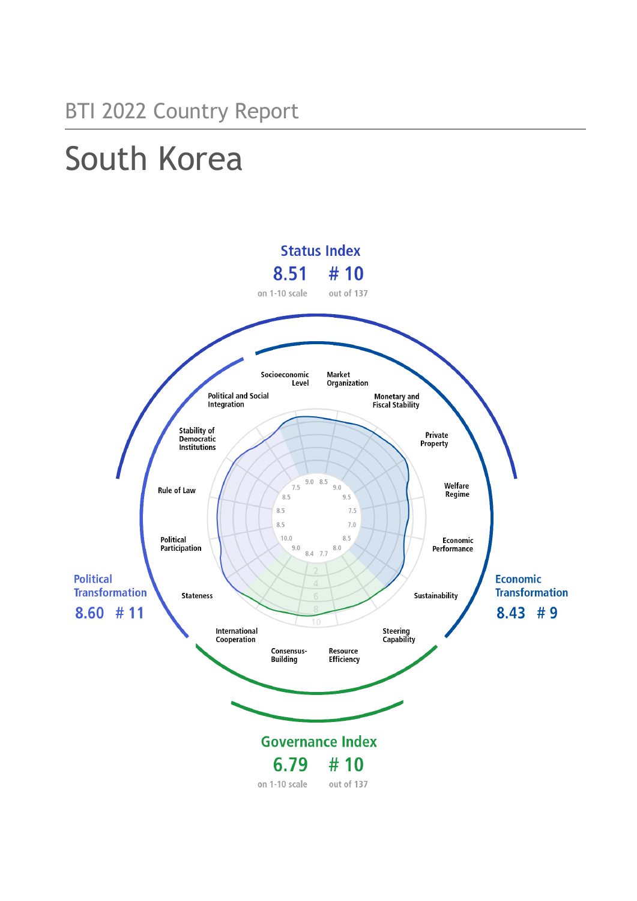# South Korea

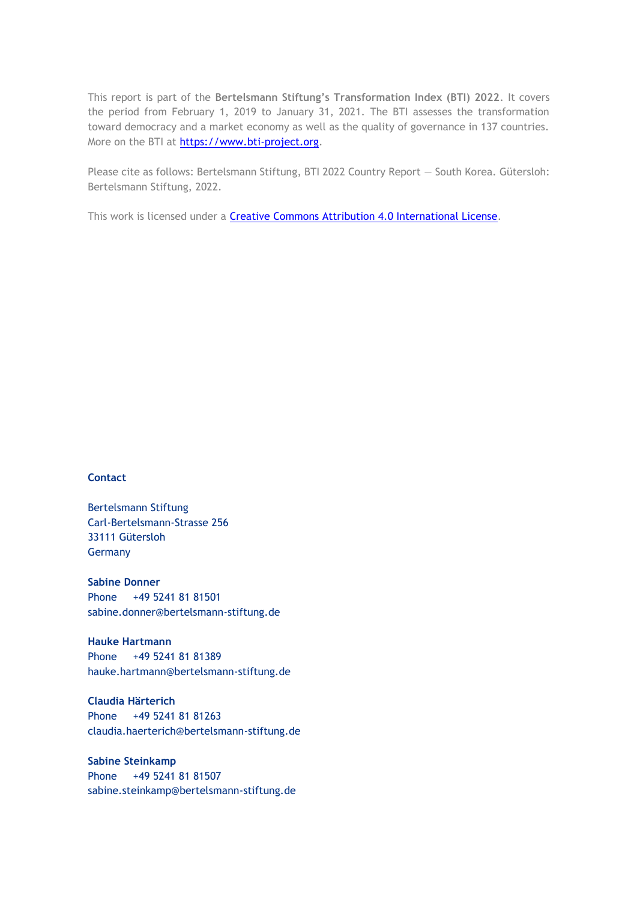This report is part of the **Bertelsmann Stiftung's Transformation Index (BTI) 2022**. It covers the period from February 1, 2019 to January 31, 2021. The BTI assesses the transformation toward democracy and a market economy as well as the quality of governance in 137 countries. More on the BTI at [https://www.bti-project.org.](https://www.bti-project.org/)

Please cite as follows: Bertelsmann Stiftung, BTI 2022 Country Report — South Korea. Gütersloh: Bertelsmann Stiftung, 2022.

This work is licensed under a **Creative Commons Attribution 4.0 International License**.

#### **Contact**

Bertelsmann Stiftung Carl-Bertelsmann-Strasse 256 33111 Gütersloh Germany

**Sabine Donner** Phone +49 5241 81 81501 sabine.donner@bertelsmann-stiftung.de

**Hauke Hartmann** Phone +49 5241 81 81389 hauke.hartmann@bertelsmann-stiftung.de

**Claudia Härterich** Phone +49 5241 81 81263 claudia.haerterich@bertelsmann-stiftung.de

#### **Sabine Steinkamp** Phone +49 5241 81 81507 sabine.steinkamp@bertelsmann-stiftung.de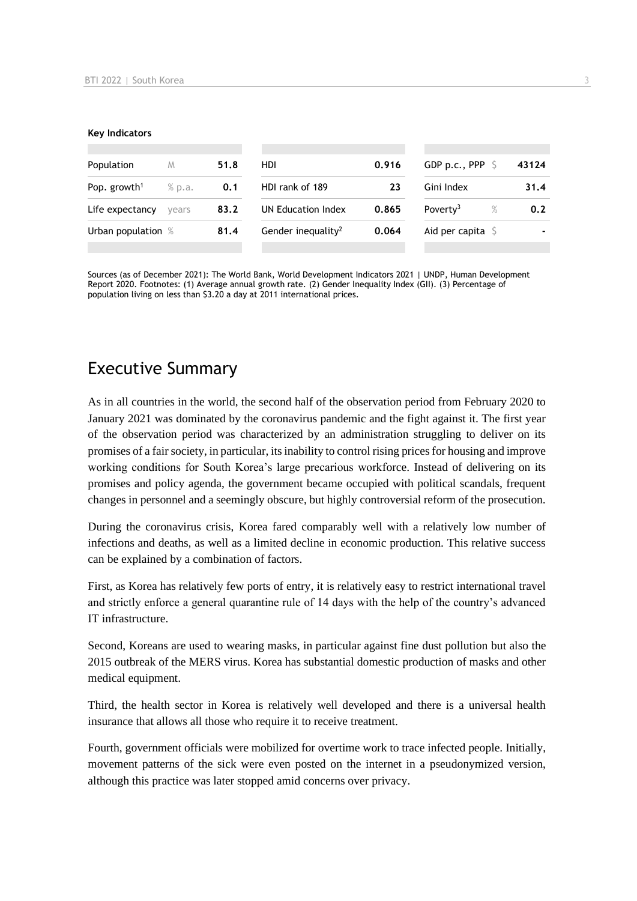#### **Key Indicators**

| Population               | M      | 51.8 | HDI                            | 0.916 | GDP p.c., PPP                | 43124 |
|--------------------------|--------|------|--------------------------------|-------|------------------------------|-------|
| Pop. growth <sup>1</sup> | % p.a. | 0.1  | HDI rank of 189                | 23    | Gini Index                   | 31.4  |
| Life expectancy          | vears  | 83.2 | UN Education Index             | 0.865 | Poverty <sup>3</sup><br>$\%$ | 0.2   |
| Urban population %       |        | 81.4 | Gender inequality <sup>2</sup> | 0.064 | Aid per capita $\sqrt{5}$    |       |
|                          |        |      |                                |       |                              |       |

Sources (as of December 2021): The World Bank, World Development Indicators 2021 | UNDP, Human Development Report 2020. Footnotes: (1) Average annual growth rate. (2) Gender Inequality Index (GII). (3) Percentage of population living on less than \$3.20 a day at 2011 international prices.

## Executive Summary

As in all countries in the world, the second half of the observation period from February 2020 to January 2021 was dominated by the coronavirus pandemic and the fight against it. The first year of the observation period was characterized by an administration struggling to deliver on its promises of a fair society, in particular, its inability to control rising prices for housing and improve working conditions for South Korea's large precarious workforce. Instead of delivering on its promises and policy agenda, the government became occupied with political scandals, frequent changes in personnel and a seemingly obscure, but highly controversial reform of the prosecution.

During the coronavirus crisis, Korea fared comparably well with a relatively low number of infections and deaths, as well as a limited decline in economic production. This relative success can be explained by a combination of factors.

First, as Korea has relatively few ports of entry, it is relatively easy to restrict international travel and strictly enforce a general quarantine rule of 14 days with the help of the country's advanced IT infrastructure.

Second, Koreans are used to wearing masks, in particular against fine dust pollution but also the 2015 outbreak of the MERS virus. Korea has substantial domestic production of masks and other medical equipment.

Third, the health sector in Korea is relatively well developed and there is a universal health insurance that allows all those who require it to receive treatment.

Fourth, government officials were mobilized for overtime work to trace infected people. Initially, movement patterns of the sick were even posted on the internet in a pseudonymized version, although this practice was later stopped amid concerns over privacy.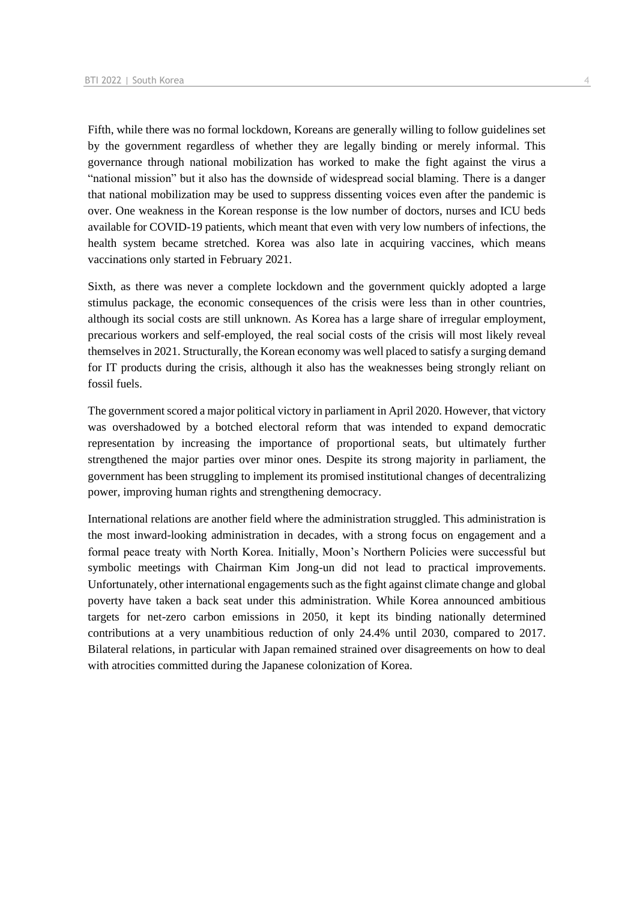Fifth, while there was no formal lockdown, Koreans are generally willing to follow guidelines set by the government regardless of whether they are legally binding or merely informal. This governance through national mobilization has worked to make the fight against the virus a "national mission" but it also has the downside of widespread social blaming. There is a danger that national mobilization may be used to suppress dissenting voices even after the pandemic is over. One weakness in the Korean response is the low number of doctors, nurses and ICU beds available for COVID-19 patients, which meant that even with very low numbers of infections, the health system became stretched. Korea was also late in acquiring vaccines, which means vaccinations only started in February 2021.

Sixth, as there was never a complete lockdown and the government quickly adopted a large stimulus package, the economic consequences of the crisis were less than in other countries, although its social costs are still unknown. As Korea has a large share of irregular employment, precarious workers and self-employed, the real social costs of the crisis will most likely reveal themselves in 2021. Structurally, the Korean economy was well placed to satisfy a surging demand for IT products during the crisis, although it also has the weaknesses being strongly reliant on fossil fuels.

The government scored a major political victory in parliament in April 2020. However, that victory was overshadowed by a botched electoral reform that was intended to expand democratic representation by increasing the importance of proportional seats, but ultimately further strengthened the major parties over minor ones. Despite its strong majority in parliament, the government has been struggling to implement its promised institutional changes of decentralizing power, improving human rights and strengthening democracy.

International relations are another field where the administration struggled. This administration is the most inward-looking administration in decades, with a strong focus on engagement and a formal peace treaty with North Korea. Initially, Moon's Northern Policies were successful but symbolic meetings with Chairman Kim Jong-un did not lead to practical improvements. Unfortunately, other international engagements such as the fight against climate change and global poverty have taken a back seat under this administration. While Korea announced ambitious targets for net-zero carbon emissions in 2050, it kept its binding nationally determined contributions at a very unambitious reduction of only 24.4% until 2030, compared to 2017. Bilateral relations, in particular with Japan remained strained over disagreements on how to deal with atrocities committed during the Japanese colonization of Korea.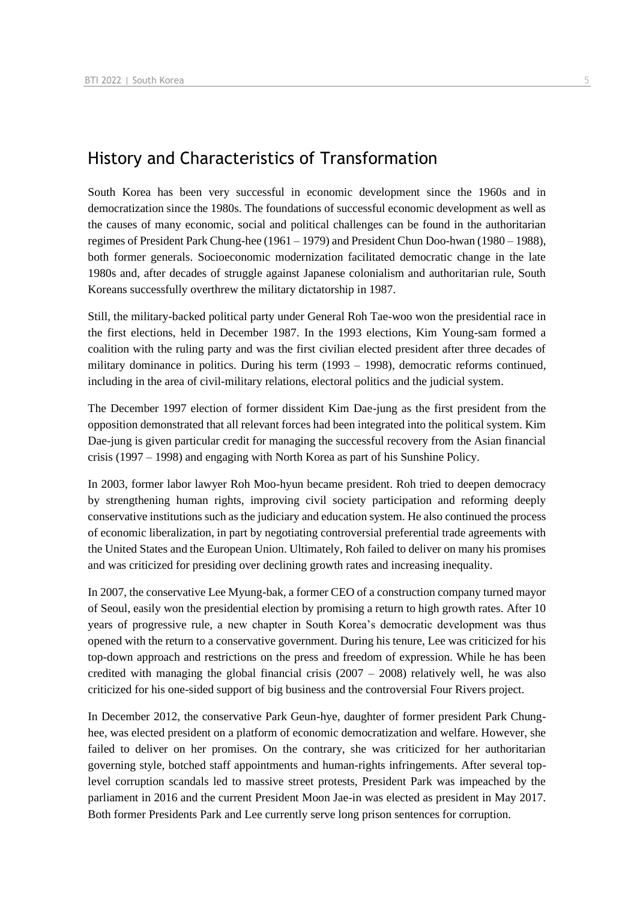## History and Characteristics of Transformation

South Korea has been very successful in economic development since the 1960s and in democratization since the 1980s. The foundations of successful economic development as well as the causes of many economic, social and political challenges can be found in the authoritarian regimes of President Park Chung-hee (1961 – 1979) and President Chun Doo-hwan (1980 – 1988), both former generals. Socioeconomic modernization facilitated democratic change in the late 1980s and, after decades of struggle against Japanese colonialism and authoritarian rule, South Koreans successfully overthrew the military dictatorship in 1987.

Still, the military-backed political party under General Roh Tae-woo won the presidential race in the first elections, held in December 1987. In the 1993 elections, Kim Young-sam formed a coalition with the ruling party and was the first civilian elected president after three decades of military dominance in politics. During his term (1993 – 1998), democratic reforms continued, including in the area of civil-military relations, electoral politics and the judicial system.

The December 1997 election of former dissident Kim Dae-jung as the first president from the opposition demonstrated that all relevant forces had been integrated into the political system. Kim Dae-jung is given particular credit for managing the successful recovery from the Asian financial crisis (1997 – 1998) and engaging with North Korea as part of his Sunshine Policy.

In 2003, former labor lawyer Roh Moo-hyun became president. Roh tried to deepen democracy by strengthening human rights, improving civil society participation and reforming deeply conservative institutions such as the judiciary and education system. He also continued the process of economic liberalization, in part by negotiating controversial preferential trade agreements with the United States and the European Union. Ultimately, Roh failed to deliver on many his promises and was criticized for presiding over declining growth rates and increasing inequality.

In 2007, the conservative Lee Myung-bak, a former CEO of a construction company turned mayor of Seoul, easily won the presidential election by promising a return to high growth rates. After 10 years of progressive rule, a new chapter in South Korea's democratic development was thus opened with the return to a conservative government. During his tenure, Lee was criticized for his top-down approach and restrictions on the press and freedom of expression. While he has been credited with managing the global financial crisis  $(2007 - 2008)$  relatively well, he was also criticized for his one-sided support of big business and the controversial Four Rivers project.

In December 2012, the conservative Park Geun-hye, daughter of former president Park Chunghee, was elected president on a platform of economic democratization and welfare. However, she failed to deliver on her promises. On the contrary, she was criticized for her authoritarian governing style, botched staff appointments and human-rights infringements. After several toplevel corruption scandals led to massive street protests, President Park was impeached by the parliament in 2016 and the current President Moon Jae-in was elected as president in May 2017. Both former Presidents Park and Lee currently serve long prison sentences for corruption.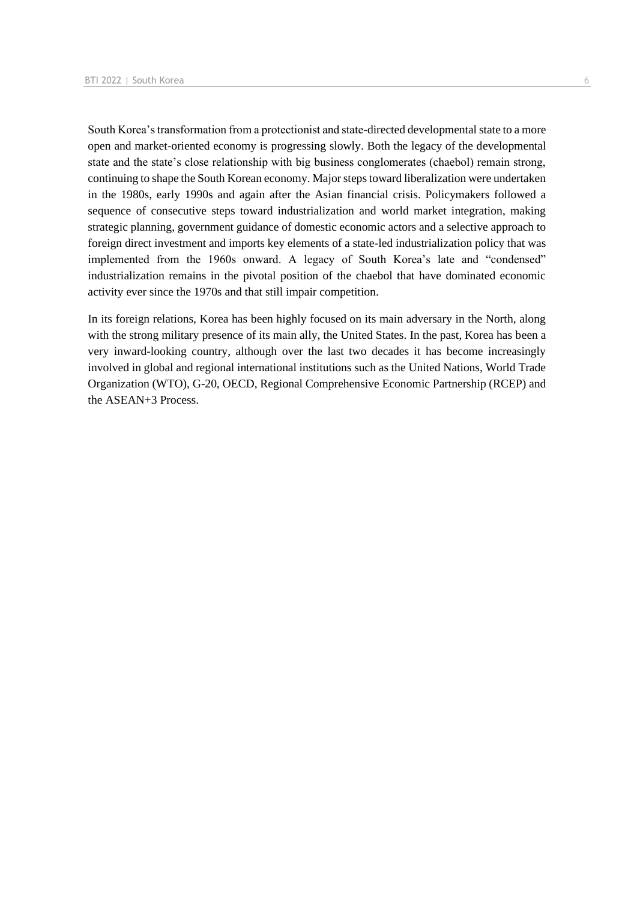South Korea's transformation from a protectionist and state-directed developmental state to a more open and market-oriented economy is progressing slowly. Both the legacy of the developmental state and the state's close relationship with big business conglomerates (chaebol) remain strong, continuing to shape the South Korean economy. Major steps toward liberalization were undertaken in the 1980s, early 1990s and again after the Asian financial crisis. Policymakers followed a sequence of consecutive steps toward industrialization and world market integration, making strategic planning, government guidance of domestic economic actors and a selective approach to foreign direct investment and imports key elements of a state-led industrialization policy that was implemented from the 1960s onward. A legacy of South Korea's late and "condensed" industrialization remains in the pivotal position of the chaebol that have dominated economic activity ever since the 1970s and that still impair competition.

In its foreign relations, Korea has been highly focused on its main adversary in the North, along with the strong military presence of its main ally, the United States. In the past, Korea has been a very inward-looking country, although over the last two decades it has become increasingly involved in global and regional international institutions such as the United Nations, World Trade Organization (WTO), G-20, OECD, Regional Comprehensive Economic Partnership (RCEP) and the ASEAN+3 Process.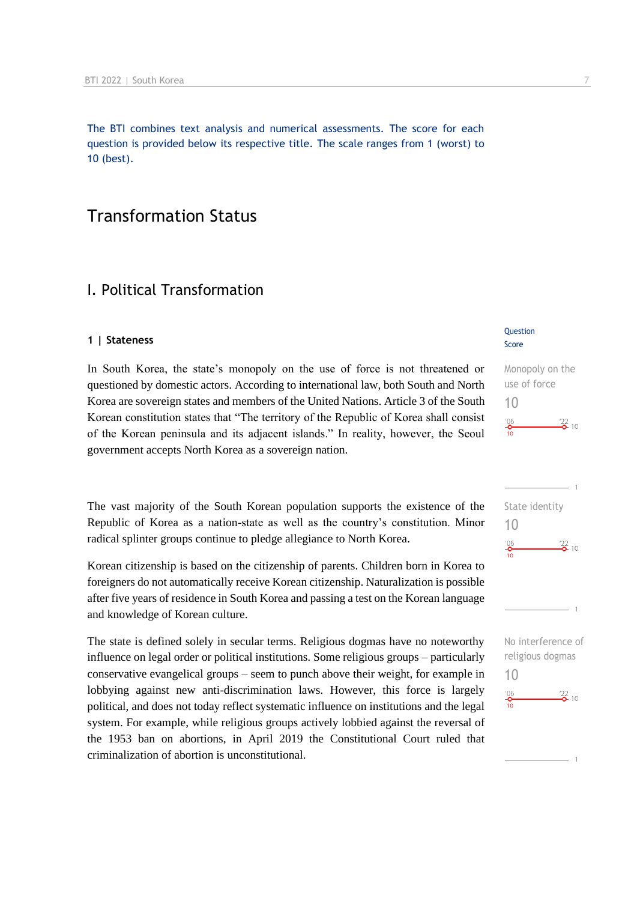The BTI combines text analysis and numerical assessments. The score for each question is provided below its respective title. The scale ranges from 1 (worst) to 10 (best).

## Transformation Status

## I. Political Transformation

#### **1 | Stateness**

In South Korea, the state's monopoly on the use of force is not threatened or questioned by domestic actors. According to international law, both South and North Korea are sovereign states and members of the United Nations. Article 3 of the South Korean constitution states that "The territory of the Republic of Korea shall consist of the Korean peninsula and its adjacent islands." In reality, however, the Seoul government accepts North Korea as a sovereign nation.

The vast majority of the South Korean population supports the existence of the Republic of Korea as a nation-state as well as the country's constitution. Minor radical splinter groups continue to pledge allegiance to North Korea.

Korean citizenship is based on the citizenship of parents. Children born in Korea to foreigners do not automatically receive Korean citizenship. Naturalization is possible after five years of residence in South Korea and passing a test on the Korean language and knowledge of Korean culture.

The state is defined solely in secular terms. Religious dogmas have no noteworthy influence on legal order or political institutions. Some religious groups – particularly conservative evangelical groups – seem to punch above their weight, for example in lobbying against new anti-discrimination laws. However, this force is largely political, and does not today reflect systematic influence on institutions and the legal system. For example, while religious groups actively lobbied against the reversal of the 1953 ban on abortions, in April 2019 the Constitutional Court ruled that criminalization of abortion is unconstitutional.

#### **Question** Score

## Monopoly on the use of force 10  $\frac{22}{2}$  10  $^{206}$

|                | ı                 |
|----------------|-------------------|
| State identity |                   |
| 10             |                   |
| $^{106}$<br>10 | $\frac{22}{6}$ 10 |
|                |                   |
|                |                   |
|                |                   |
|                |                   |

No interference of religious dogmas 10 $^{206}$  $\frac{22}{2}$  10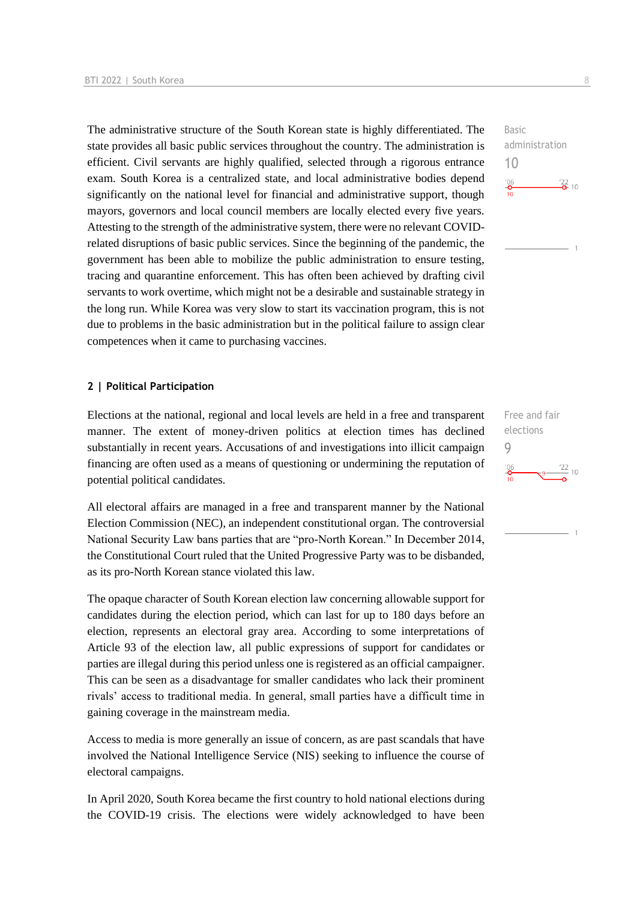The administrative structure of the South Korean state is highly differentiated. The state provides all basic public services throughout the country. The administration is efficient. Civil servants are highly qualified, selected through a rigorous entrance exam. South Korea is a centralized state, and local administrative bodies depend significantly on the national level for financial and administrative support, though mayors, governors and local council members are locally elected every five years. Attesting to the strength of the administrative system, there were no relevant COVIDrelated disruptions of basic public services. Since the beginning of the pandemic, the government has been able to mobilize the public administration to ensure testing, tracing and quarantine enforcement. This has often been achieved by drafting civil servants to work overtime, which might not be a desirable and sustainable strategy in the long run. While Korea was very slow to start its vaccination program, this is not due to problems in the basic administration but in the political failure to assign clear competences when it came to purchasing vaccines.

#### **2 | Political Participation**

Elections at the national, regional and local levels are held in a free and transparent manner. The extent of money-driven politics at election times has declined substantially in recent years. Accusations of and investigations into illicit campaign financing are often used as a means of questioning or undermining the reputation of potential political candidates.

All electoral affairs are managed in a free and transparent manner by the National Election Commission (NEC), an independent constitutional organ. The controversial National Security Law bans parties that are "pro-North Korean." In December 2014, the Constitutional Court ruled that the United Progressive Party was to be disbanded, as its pro-North Korean stance violated this law.

The opaque character of South Korean election law concerning allowable support for candidates during the election period, which can last for up to 180 days before an election, represents an electoral gray area. According to some interpretations of Article 93 of the election law, all public expressions of support for candidates or parties are illegal during this period unless one is registered as an official campaigner. This can be seen as a disadvantage for smaller candidates who lack their prominent rivals' access to traditional media. In general, small parties have a difficult time in gaining coverage in the mainstream media.

Access to media is more generally an issue of concern, as are past scandals that have involved the National Intelligence Service (NIS) seeking to influence the course of electoral campaigns.

In April 2020, South Korea became the first country to hold national elections during the COVID-19 crisis. The elections were widely acknowledged to have been

Free and fair elections 9 $\frac{22}{10}$  $\frac{106}{6}$ 

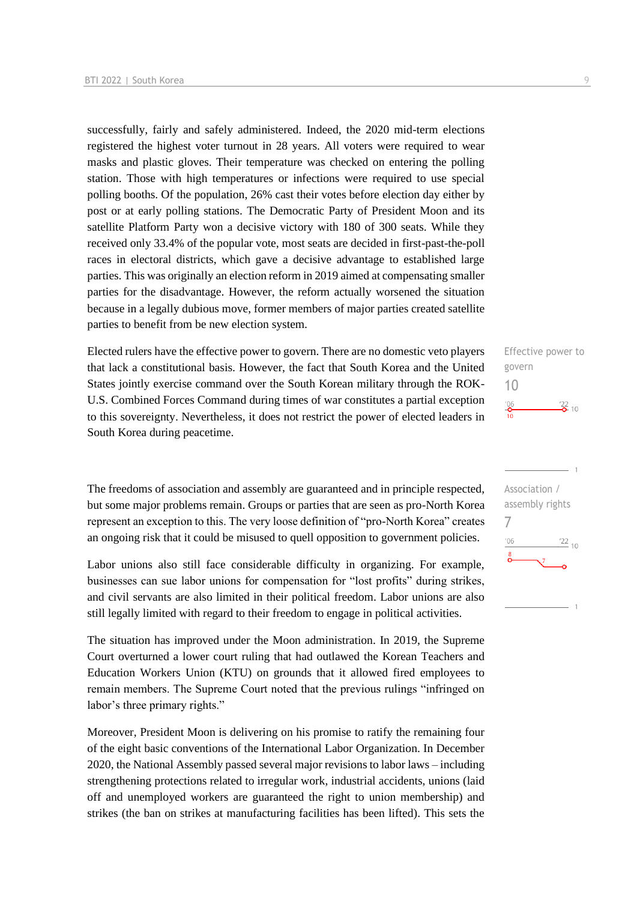successfully, fairly and safely administered. Indeed, the 2020 mid-term elections registered the highest voter turnout in 28 years. All voters were required to wear masks and plastic gloves. Their temperature was checked on entering the polling station. Those with high temperatures or infections were required to use special polling booths. Of the population, 26% cast their votes before election day either by post or at early polling stations. The Democratic Party of President Moon and its satellite Platform Party won a decisive victory with 180 of 300 seats. While they received only 33.4% of the popular vote, most seats are decided in first-past-the-poll races in electoral districts, which gave a decisive advantage to established large parties. This was originally an election reform in 2019 aimed at compensating smaller parties for the disadvantage. However, the reform actually worsened the situation because in a legally dubious move, former members of major parties created satellite parties to benefit from be new election system.

Elected rulers have the effective power to govern. There are no domestic veto players that lack a constitutional basis. However, the fact that South Korea and the United States jointly exercise command over the South Korean military through the ROK-U.S. Combined Forces Command during times of war constitutes a partial exception to this sovereignty. Nevertheless, it does not restrict the power of elected leaders in South Korea during peacetime.

The freedoms of association and assembly are guaranteed and in principle respected, but some major problems remain. Groups or parties that are seen as pro-North Korea represent an exception to this. The very loose definition of "pro-North Korea" creates an ongoing risk that it could be misused to quell opposition to government policies.

Labor unions also still face considerable difficulty in organizing. For example, businesses can sue labor unions for compensation for "lost profits" during strikes, and civil servants are also limited in their political freedom. Labor unions are also still legally limited with regard to their freedom to engage in political activities.

The situation has improved under the Moon administration. In 2019, the Supreme Court overturned a lower court ruling that had outlawed the Korean Teachers and Education Workers Union (KTU) on grounds that it allowed fired employees to remain members. The Supreme Court noted that the previous rulings "infringed on labor's three primary rights."

Moreover, President Moon is delivering on his promise to ratify the remaining four of the eight basic conventions of the International Labor Organization. In December 2020, the National Assembly passed several major revisions to labor laws – including strengthening protections related to irregular work, industrial accidents, unions (laid off and unemployed workers are guaranteed the right to union membership) and strikes (the ban on strikes at manufacturing facilities has been lifted). This sets the



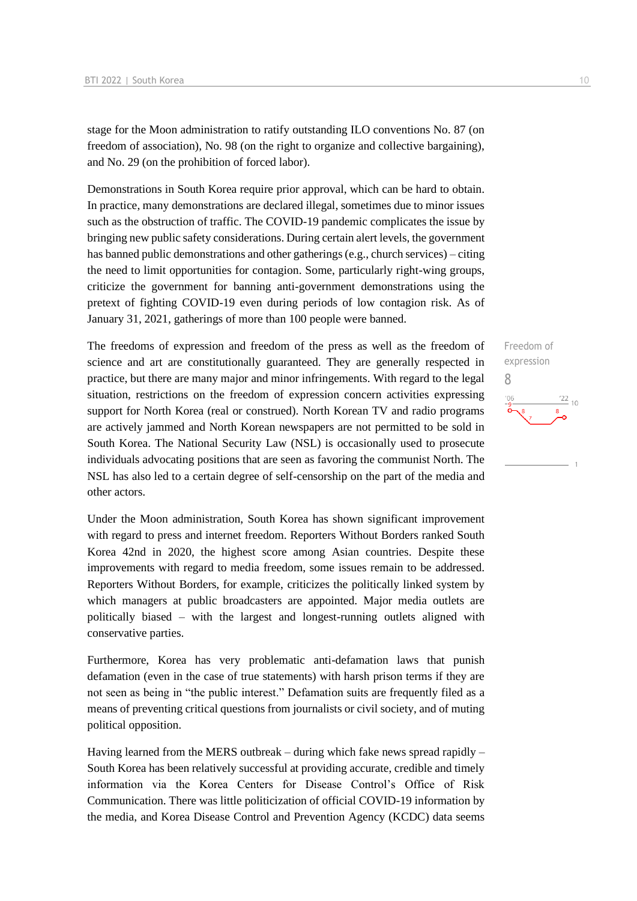stage for the Moon administration to ratify outstanding ILO conventions No. 87 (on freedom of association), No. 98 (on the right to organize and collective bargaining), and No. 29 (on the prohibition of forced labor).

Demonstrations in South Korea require prior approval, which can be hard to obtain. In practice, many demonstrations are declared illegal, sometimes due to minor issues such as the obstruction of traffic. The COVID-19 pandemic complicates the issue by bringing new public safety considerations. During certain alert levels, the government has banned public demonstrations and other gatherings (e.g., church services) – citing the need to limit opportunities for contagion. Some, particularly right-wing groups, criticize the government for banning anti-government demonstrations using the pretext of fighting COVID-19 even during periods of low contagion risk. As of January 31, 2021, gatherings of more than 100 people were banned.

The freedoms of expression and freedom of the press as well as the freedom of science and art are constitutionally guaranteed. They are generally respected in practice, but there are many major and minor infringements. With regard to the legal situation, restrictions on the freedom of expression concern activities expressing support for North Korea (real or construed). North Korean TV and radio programs are actively jammed and North Korean newspapers are not permitted to be sold in South Korea. The National Security Law (NSL) is occasionally used to prosecute individuals advocating positions that are seen as favoring the communist North. The NSL has also led to a certain degree of self-censorship on the part of the media and other actors.

Under the Moon administration, South Korea has shown significant improvement with regard to press and internet freedom. Reporters Without Borders ranked South Korea 42nd in 2020, the highest score among Asian countries. Despite these improvements with regard to media freedom, some issues remain to be addressed. Reporters Without Borders, for example, criticizes the politically linked system by which managers at public broadcasters are appointed. Major media outlets are politically biased – with the largest and longest-running outlets aligned with conservative parties.

Furthermore, Korea has very problematic anti-defamation laws that punish defamation (even in the case of true statements) with harsh prison terms if they are not seen as being in "the public interest." Defamation suits are frequently filed as a means of preventing critical questions from journalists or civil society, and of muting political opposition.

Having learned from the MERS outbreak – during which fake news spread rapidly – South Korea has been relatively successful at providing accurate, credible and timely information via the Korea Centers for Disease Control's Office of Risk Communication. There was little politicization of official COVID-19 information by the media, and Korea Disease Control and Prevention Agency (KCDC) data seems

Freedom of expression 8 $\frac{22}{10}$  $106$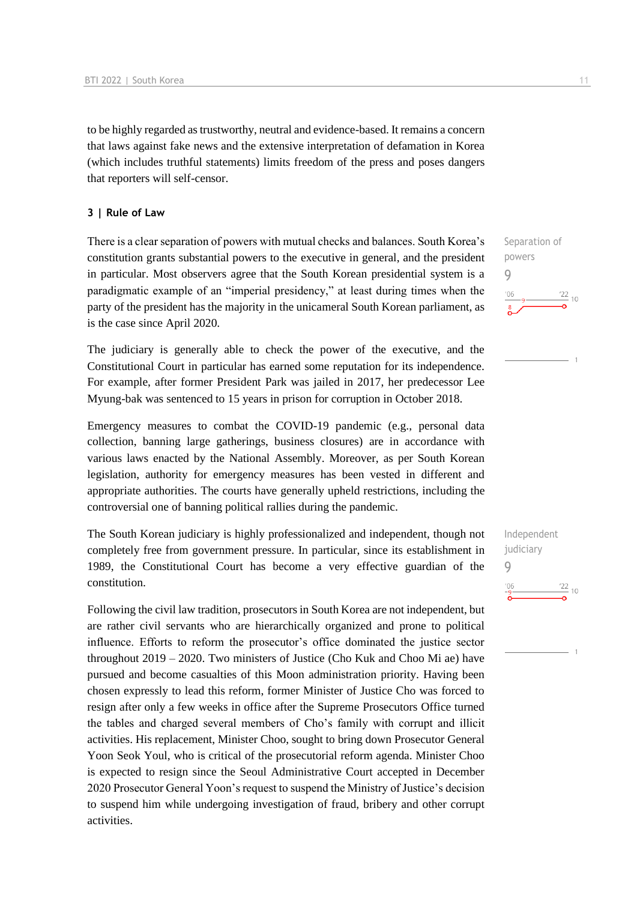to be highly regarded as trustworthy, neutral and evidence-based. It remains a concern that laws against fake news and the extensive interpretation of defamation in Korea (which includes truthful statements) limits freedom of the press and poses dangers that reporters will self-censor.

#### **3 | Rule of Law**

There is a clear separation of powers with mutual checks and balances. South Korea's constitution grants substantial powers to the executive in general, and the president in particular. Most observers agree that the South Korean presidential system is a paradigmatic example of an "imperial presidency," at least during times when the party of the president has the majority in the unicameral South Korean parliament, as is the case since April 2020.

The judiciary is generally able to check the power of the executive, and the Constitutional Court in particular has earned some reputation for its independence. For example, after former President Park was jailed in 2017, her predecessor Lee Myung-bak was sentenced to 15 years in prison for corruption in October 2018.

Emergency measures to combat the COVID-19 pandemic (e.g., personal data collection, banning large gatherings, business closures) are in accordance with various laws enacted by the National Assembly. Moreover, as per South Korean legislation, authority for emergency measures has been vested in different and appropriate authorities. The courts have generally upheld restrictions, including the controversial one of banning political rallies during the pandemic.

The South Korean judiciary is highly professionalized and independent, though not completely free from government pressure. In particular, since its establishment in 1989, the Constitutional Court has become a very effective guardian of the constitution.

Following the civil law tradition, prosecutors in South Korea are not independent, but are rather civil servants who are hierarchically organized and prone to political influence. Efforts to reform the prosecutor's office dominated the justice sector throughout 2019 – 2020. Two ministers of Justice (Cho Kuk and Choo Mi ae) have pursued and become casualties of this Moon administration priority. Having been chosen expressly to lead this reform, former Minister of Justice Cho was forced to resign after only a few weeks in office after the Supreme Prosecutors Office turned the tables and charged several members of Cho's family with corrupt and illicit activities. His replacement, Minister Choo, sought to bring down Prosecutor General Yoon Seok Youl, who is critical of the prosecutorial reform agenda. Minister Choo is expected to resign since the Seoul Administrative Court accepted in December 2020 Prosecutor General Yoon's request to suspend the Ministry of Justice's decision to suspend him while undergoing investigation of fraud, bribery and other corrupt activities.

Separation of powers 9  $\frac{22}{10}$ 

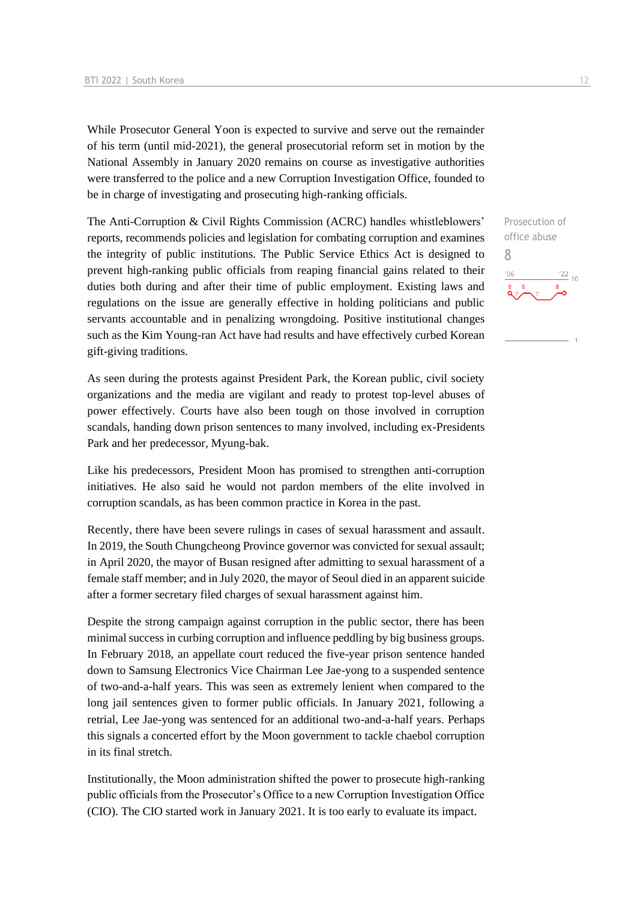While Prosecutor General Yoon is expected to survive and serve out the remainder of his term (until mid-2021), the general prosecutorial reform set in motion by the National Assembly in January 2020 remains on course as investigative authorities were transferred to the police and a new Corruption Investigation Office, founded to be in charge of investigating and prosecuting high-ranking officials.

The Anti-Corruption & Civil Rights Commission (ACRC) handles whistleblowers' reports, recommends policies and legislation for combating corruption and examines the integrity of public institutions. The Public Service Ethics Act is designed to prevent high-ranking public officials from reaping financial gains related to their duties both during and after their time of public employment. Existing laws and regulations on the issue are generally effective in holding politicians and public servants accountable and in penalizing wrongdoing. Positive institutional changes such as the Kim Young-ran Act have had results and have effectively curbed Korean gift-giving traditions.

As seen during the protests against President Park, the Korean public, civil society organizations and the media are vigilant and ready to protest top-level abuses of power effectively. Courts have also been tough on those involved in corruption scandals, handing down prison sentences to many involved, including ex-Presidents Park and her predecessor, Myung-bak.

Like his predecessors, President Moon has promised to strengthen anti-corruption initiatives. He also said he would not pardon members of the elite involved in corruption scandals, as has been common practice in Korea in the past.

Recently, there have been severe rulings in cases of sexual harassment and assault. In 2019, the South Chungcheong Province governor was convicted for sexual assault; in April 2020, the mayor of Busan resigned after admitting to sexual harassment of a female staff member; and in July 2020, the mayor of Seoul died in an apparent suicide after a former secretary filed charges of sexual harassment against him.

Despite the strong campaign against corruption in the public sector, there has been minimal success in curbing corruption and influence peddling by big business groups. In February 2018, an appellate court reduced the five-year prison sentence handed down to Samsung Electronics Vice Chairman Lee Jae-yong to a suspended sentence of two-and-a-half years. This was seen as extremely lenient when compared to the long jail sentences given to former public officials. In January 2021, following a retrial, Lee Jae-yong was sentenced for an additional two-and-a-half years. Perhaps this signals a concerted effort by the Moon government to tackle chaebol corruption in its final stretch.

Institutionally, the Moon administration shifted the power to prosecute high-ranking public officials from the Prosecutor's Office to a new Corruption Investigation Office (CIO). The CIO started work in January 2021. It is too early to evaluate its impact.

Prosecution of office abuse 8 $\frac{22}{10}$  $06'$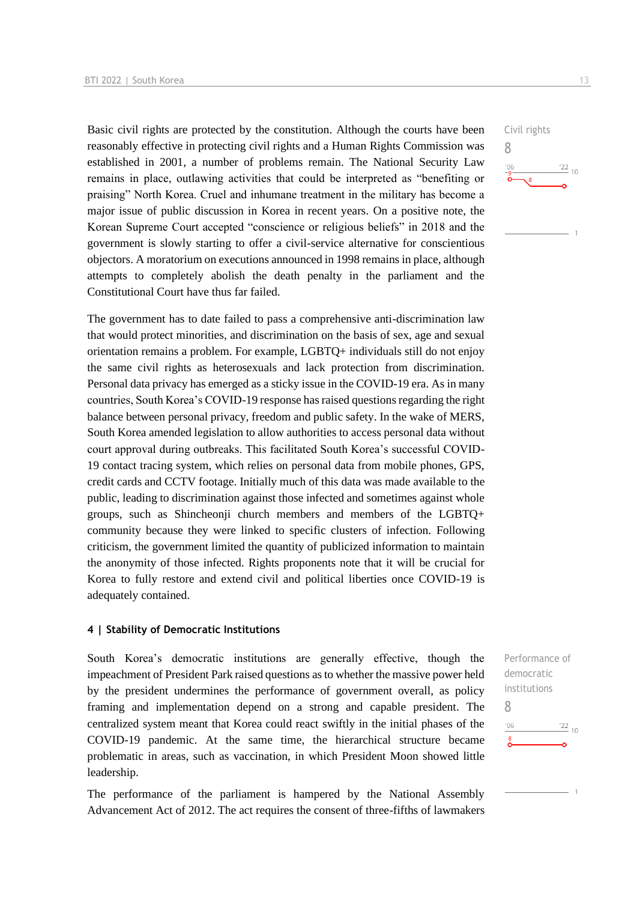Basic civil rights are protected by the constitution. Although the courts have been reasonably effective in protecting civil rights and a Human Rights Commission was established in 2001, a number of problems remain. The National Security Law remains in place, outlawing activities that could be interpreted as "benefiting or praising" North Korea. Cruel and inhumane treatment in the military has become a major issue of public discussion in Korea in recent years. On a positive note, the Korean Supreme Court accepted "conscience or religious beliefs" in 2018 and the government is slowly starting to offer a civil-service alternative for conscientious objectors. A moratorium on executions announced in 1998 remains in place, although attempts to completely abolish the death penalty in the parliament and the Constitutional Court have thus far failed.

The government has to date failed to pass a comprehensive anti-discrimination law that would protect minorities, and discrimination on the basis of sex, age and sexual orientation remains a problem. For example, LGBTQ+ individuals still do not enjoy the same civil rights as heterosexuals and lack protection from discrimination. Personal data privacy has emerged as a sticky issue in the COVID-19 era. As in many countries, South Korea's COVID-19 response has raised questions regarding the right balance between personal privacy, freedom and public safety. In the wake of MERS, South Korea amended legislation to allow authorities to access personal data without court approval during outbreaks. This facilitated South Korea's successful COVID-19 contact tracing system, which relies on personal data from mobile phones, GPS, credit cards and CCTV footage. Initially much of this data was made available to the public, leading to discrimination against those infected and sometimes against whole groups, such as Shincheonji church members and members of the LGBTQ+ community because they were linked to specific clusters of infection. Following criticism, the government limited the quantity of publicized information to maintain the anonymity of those infected. Rights proponents note that it will be crucial for Korea to fully restore and extend civil and political liberties once COVID-19 is adequately contained.

#### **4 | Stability of Democratic Institutions**

South Korea's democratic institutions are generally effective, though the impeachment of President Park raised questions as to whether the massive power held by the president undermines the performance of government overall, as policy framing and implementation depend on a strong and capable president. The centralized system meant that Korea could react swiftly in the initial phases of the COVID-19 pandemic. At the same time, the hierarchical structure became problematic in areas, such as vaccination, in which President Moon showed little leadership.

The performance of the parliament is hampered by the National Assembly Advancement Act of 2012. The act requires the consent of three-fifths of lawmakers



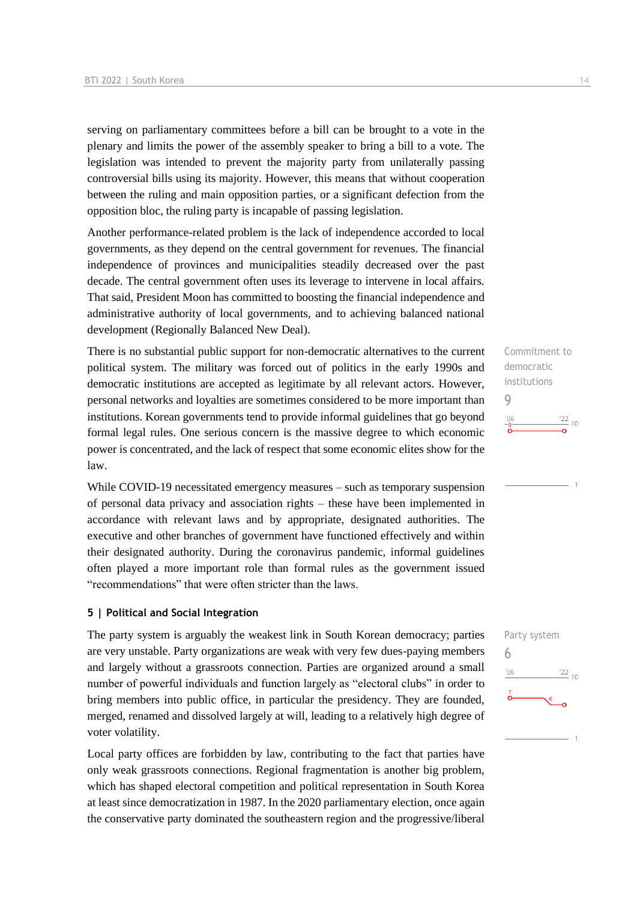serving on parliamentary committees before a bill can be brought to a vote in the plenary and limits the power of the assembly speaker to bring a bill to a vote. The legislation was intended to prevent the majority party from unilaterally passing controversial bills using its majority. However, this means that without cooperation between the ruling and main opposition parties, or a significant defection from the opposition bloc, the ruling party is incapable of passing legislation.

Another performance-related problem is the lack of independence accorded to local governments, as they depend on the central government for revenues. The financial independence of provinces and municipalities steadily decreased over the past decade. The central government often uses its leverage to intervene in local affairs. That said, President Moon has committed to boosting the financial independence and administrative authority of local governments, and to achieving balanced national development (Regionally Balanced New Deal).

There is no substantial public support for non-democratic alternatives to the current political system. The military was forced out of politics in the early 1990s and democratic institutions are accepted as legitimate by all relevant actors. However, personal networks and loyalties are sometimes considered to be more important than institutions. Korean governments tend to provide informal guidelines that go beyond formal legal rules. One serious concern is the massive degree to which economic power is concentrated, and the lack of respect that some economic elites show for the law.

While COVID-19 necessitated emergency measures – such as temporary suspension of personal data privacy and association rights – these have been implemented in accordance with relevant laws and by appropriate, designated authorities. The executive and other branches of government have functioned effectively and within their designated authority. During the coronavirus pandemic, informal guidelines often played a more important role than formal rules as the government issued "recommendations" that were often stricter than the laws.

#### **5 | Political and Social Integration**

The party system is arguably the weakest link in South Korean democracy; parties are very unstable. Party organizations are weak with very few dues-paying members and largely without a grassroots connection. Parties are organized around a small number of powerful individuals and function largely as "electoral clubs" in order to bring members into public office, in particular the presidency. They are founded, merged, renamed and dissolved largely at will, leading to a relatively high degree of voter volatility.

Local party offices are forbidden by law, contributing to the fact that parties have only weak grassroots connections. Regional fragmentation is another big problem, which has shaped electoral competition and political representation in South Korea at least since democratization in 1987. In the 2020 parliamentary election, once again the conservative party dominated the southeastern region and the progressive/liberal Commitment to democratic institutions  $Q$  $\frac{22}{10}$  $^{\prime}06$ 

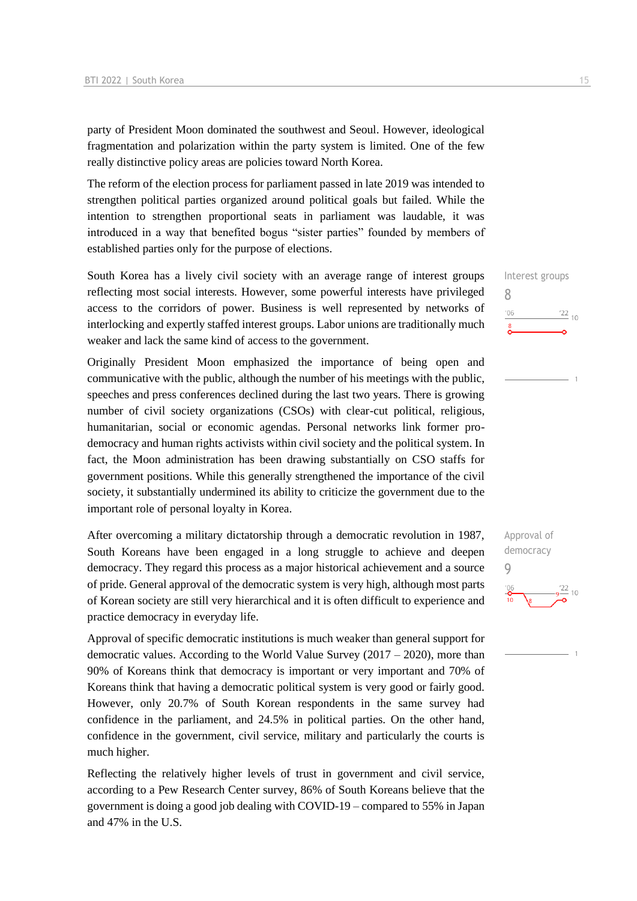party of President Moon dominated the southwest and Seoul. However, ideological fragmentation and polarization within the party system is limited. One of the few really distinctive policy areas are policies toward North Korea.

The reform of the election process for parliament passed in late 2019 was intended to strengthen political parties organized around political goals but failed. While the intention to strengthen proportional seats in parliament was laudable, it was introduced in a way that benefited bogus "sister parties" founded by members of established parties only for the purpose of elections.

South Korea has a lively civil society with an average range of interest groups reflecting most social interests. However, some powerful interests have privileged access to the corridors of power. Business is well represented by networks of interlocking and expertly staffed interest groups. Labor unions are traditionally much weaker and lack the same kind of access to the government.

Originally President Moon emphasized the importance of being open and communicative with the public, although the number of his meetings with the public, speeches and press conferences declined during the last two years. There is growing number of civil society organizations (CSOs) with clear-cut political, religious, humanitarian, social or economic agendas. Personal networks link former prodemocracy and human rights activists within civil society and the political system. In fact, the Moon administration has been drawing substantially on CSO staffs for government positions. While this generally strengthened the importance of the civil society, it substantially undermined its ability to criticize the government due to the important role of personal loyalty in Korea.

After overcoming a military dictatorship through a democratic revolution in 1987, South Koreans have been engaged in a long struggle to achieve and deepen democracy. They regard this process as a major historical achievement and a source of pride. General approval of the democratic system is very high, although most parts of Korean society are still very hierarchical and it is often difficult to experience and practice democracy in everyday life.

Approval of specific democratic institutions is much weaker than general support for democratic values. According to the World Value Survey (2017 – 2020), more than 90% of Koreans think that democracy is important or very important and 70% of Koreans think that having a democratic political system is very good or fairly good. However, only 20.7% of South Korean respondents in the same survey had confidence in the parliament, and 24.5% in political parties. On the other hand, confidence in the government, civil service, military and particularly the courts is much higher.

Reflecting the relatively higher levels of trust in government and civil service, according to a Pew Research Center survey, 86% of South Koreans believe that the government is doing a good job dealing with COVID-19 – compared to 55% in Japan and 47% in the U.S.

Interest groups 8  $06'$  $\frac{22}{10}$ 

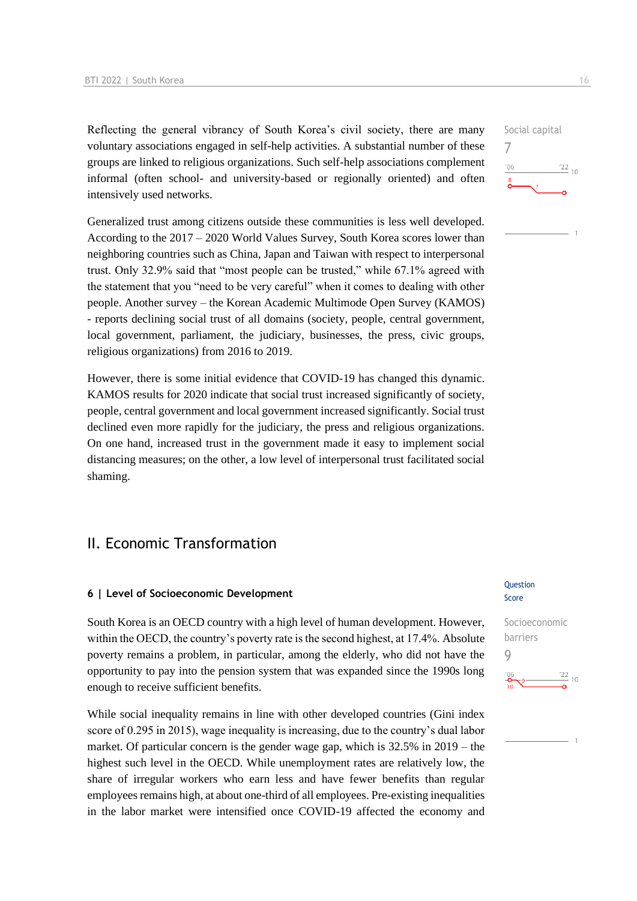Reflecting the general vibrancy of South Korea's civil society, there are many voluntary associations engaged in self-help activities. A substantial number of these groups are linked to religious organizations. Such self-help associations complement informal (often school- and university-based or regionally oriented) and often intensively used networks.

Generalized trust among citizens outside these communities is less well developed. According to the 2017 – 2020 World Values Survey, South Korea scores lower than neighboring countries such as China, Japan and Taiwan with respect to interpersonal trust. Only 32.9% said that "most people can be trusted," while 67.1% agreed with the statement that you "need to be very careful" when it comes to dealing with other people. Another survey – the Korean Academic Multimode Open Survey (KAMOS) - reports declining social trust of all domains (society, people, central government, local government, parliament, the judiciary, businesses, the press, civic groups, religious organizations) from 2016 to 2019.

However, there is some initial evidence that COVID-19 has changed this dynamic. KAMOS results for 2020 indicate that social trust increased significantly of society, people, central government and local government increased significantly. Social trust declined even more rapidly for the judiciary, the press and religious organizations. On one hand, increased trust in the government made it easy to implement social distancing measures; on the other, a low level of interpersonal trust facilitated social shaming.

## II. Economic Transformation

#### **6 | Level of Socioeconomic Development**

South Korea is an OECD country with a high level of human development. However, within the OECD, the country's poverty rate is the second highest, at 17.4%. Absolute poverty remains a problem, in particular, among the elderly, who did not have the opportunity to pay into the pension system that was expanded since the 1990s long enough to receive sufficient benefits.

While social inequality remains in line with other developed countries (Gini index score of 0.295 in 2015), wage inequality is increasing, due to the country's dual labor market. Of particular concern is the gender wage gap, which is 32.5% in 2019 – the highest such level in the OECD. While unemployment rates are relatively low, the share of irregular workers who earn less and have fewer benefits than regular employees remains high, at about one-third of all employees. Pre-existing inequalities in the labor market were intensified once COVID-19 affected the economy and

#### Question Score

Socioeconomic barriers 9 $\frac{22}{10}$ 

```
Social capital
7
                 \frac{22}{10}106
```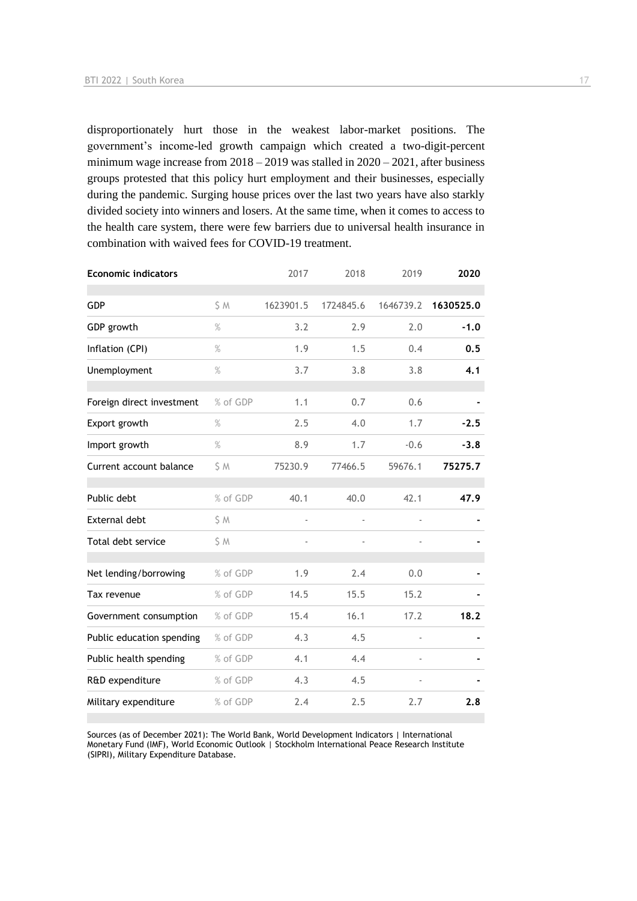disproportionately hurt those in the weakest labor-market positions. The government's income-led growth campaign which created a two-digit-percent minimum wage increase from 2018 – 2019 was stalled in 2020 – 2021, after business groups protested that this policy hurt employment and their businesses, especially during the pandemic. Surging house prices over the last two years have also starkly divided society into winners and losers. At the same time, when it comes to access to the health care system, there were few barriers due to universal health insurance in combination with waived fees for COVID-19 treatment.

| <b>Economic indicators</b> |          | 2017      | 2018      | 2019                     | 2020      |
|----------------------------|----------|-----------|-----------|--------------------------|-----------|
| GDP                        | S M      | 1623901.5 | 1724845.6 | 1646739.2                | 1630525.0 |
| GDP growth                 | $\%$     | 3.2       | 2.9       | 2.0                      | $-1.0$    |
| Inflation (CPI)            | $\%$     | 1.9       | 1.5       | 0.4                      | 0.5       |
| Unemployment               | %        | 3.7       | 3.8       | 3.8                      | 4.1       |
| Foreign direct investment  | % of GDP | 1.1       | 0.7       | 0.6                      |           |
| Export growth              | %        | 2.5       | 4.0       | 1.7                      | $-2.5$    |
| Import growth              | $\%$     | 8.9       | 1.7       | $-0.6$                   | $-3.8$    |
| Current account balance    | \$M      | 75230.9   | 77466.5   | 59676.1                  | 75275.7   |
| Public debt                | % of GDP | 40.1      | 40.0      | 42.1                     | 47.9      |
| <b>External debt</b>       | \$ M     |           |           |                          |           |
| Total debt service         | \$ M     |           |           |                          |           |
| Net lending/borrowing      | % of GDP | 1.9       | 2.4       | 0.0                      |           |
| Tax revenue                | % of GDP | 14.5      | 15.5      | 15.2                     |           |
| Government consumption     | % of GDP | 15.4      | 16.1      | 17.2                     | 18.2      |
| Public education spending  | % of GDP | 4.3       | 4.5       | $\overline{\phantom{a}}$ |           |
| Public health spending     | % of GDP | 4.1       | 4.4       |                          |           |
| R&D expenditure            | % of GDP | 4.3       | 4.5       |                          |           |
| Military expenditure       | % of GDP | 2.4       | 2.5       | 2.7                      | 2.8       |

Sources (as of December 2021): The World Bank, World Development Indicators | International Monetary Fund (IMF), World Economic Outlook | Stockholm International Peace Research Institute (SIPRI), Military Expenditure Database.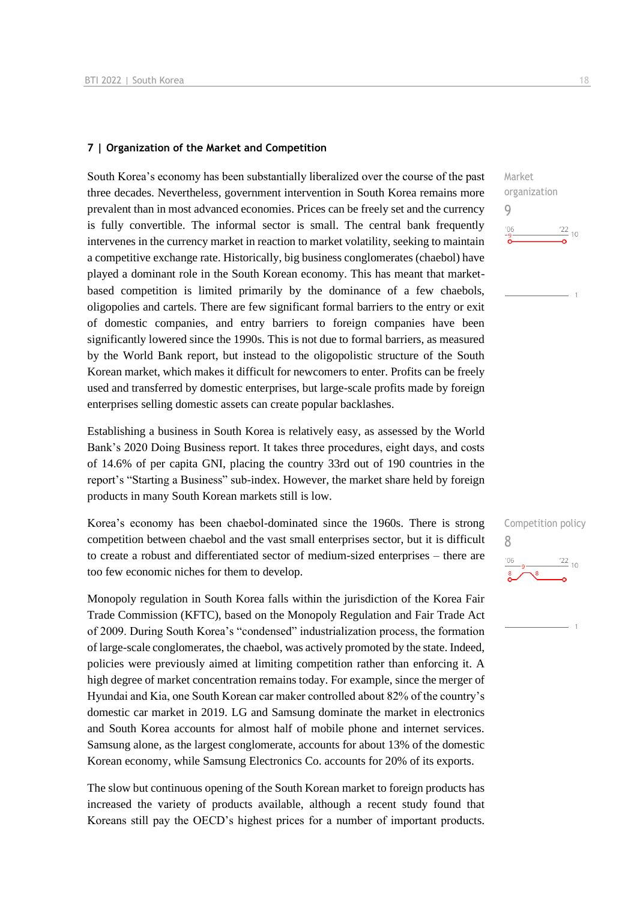#### **7 | Organization of the Market and Competition**

South Korea's economy has been substantially liberalized over the course of the past three decades. Nevertheless, government intervention in South Korea remains more prevalent than in most advanced economies. Prices can be freely set and the currency is fully convertible. The informal sector is small. The central bank frequently intervenes in the currency market in reaction to market volatility, seeking to maintain a competitive exchange rate. Historically, big business conglomerates (chaebol) have played a dominant role in the South Korean economy. This has meant that marketbased competition is limited primarily by the dominance of a few chaebols, oligopolies and cartels. There are few significant formal barriers to the entry or exit of domestic companies, and entry barriers to foreign companies have been significantly lowered since the 1990s. This is not due to formal barriers, as measured by the World Bank report, but instead to the oligopolistic structure of the South Korean market, which makes it difficult for newcomers to enter. Profits can be freely used and transferred by domestic enterprises, but large-scale profits made by foreign enterprises selling domestic assets can create popular backlashes.

Establishing a business in South Korea is relatively easy, as assessed by the World Bank's 2020 Doing Business report. It takes three procedures, eight days, and costs of 14.6% of per capita GNI, placing the country 33rd out of 190 countries in the report's "Starting a Business" sub-index. However, the market share held by foreign products in many South Korean markets still is low.

Korea's economy has been chaebol-dominated since the 1960s. There is strong competition between chaebol and the vast small enterprises sector, but it is difficult to create a robust and differentiated sector of medium-sized enterprises – there are too few economic niches for them to develop.

Monopoly regulation in South Korea falls within the jurisdiction of the Korea Fair Trade Commission (KFTC), based on the Monopoly Regulation and Fair Trade Act of 2009. During South Korea's "condensed" industrialization process, the formation of large-scale conglomerates, the chaebol, was actively promoted by the state. Indeed, policies were previously aimed at limiting competition rather than enforcing it. A high degree of market concentration remains today. For example, since the merger of Hyundai and Kia, one South Korean car maker controlled about 82% of the country's domestic car market in 2019. LG and Samsung dominate the market in electronics and South Korea accounts for almost half of mobile phone and internet services. Samsung alone, as the largest conglomerate, accounts for about 13% of the domestic Korean economy, while Samsung Electronics Co. accounts for 20% of its exports.

The slow but continuous opening of the South Korean market to foreign products has increased the variety of products available, although a recent study found that Koreans still pay the OECD's highest prices for a number of important products.  $\frac{22}{10}$  10

Market organization

Competition policy

 $\frac{22}{10}$ 

8

9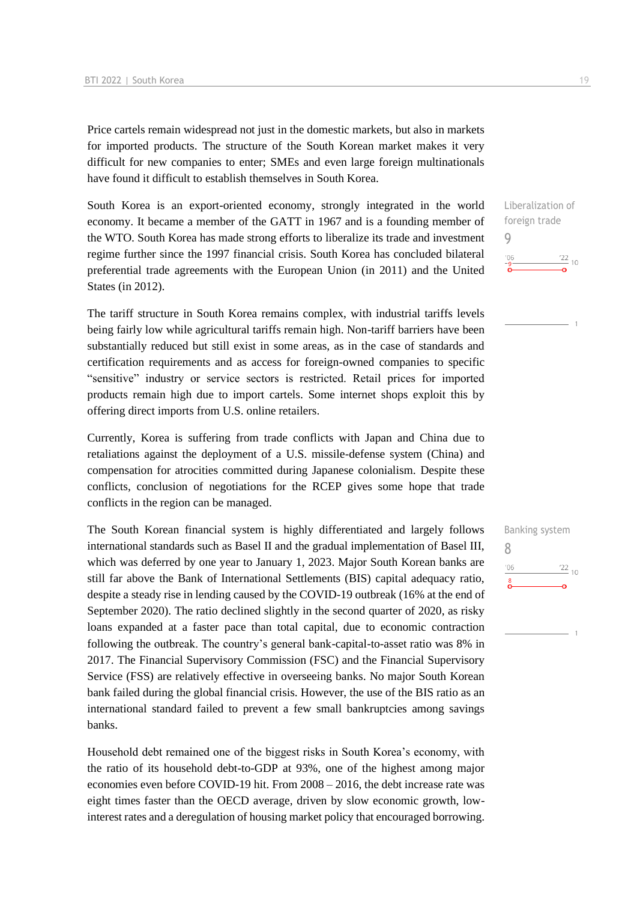Price cartels remain widespread not just in the domestic markets, but also in markets for imported products. The structure of the South Korean market makes it very difficult for new companies to enter; SMEs and even large foreign multinationals have found it difficult to establish themselves in South Korea.

South Korea is an export-oriented economy, strongly integrated in the world economy. It became a member of the GATT in 1967 and is a founding member of the WTO. South Korea has made strong efforts to liberalize its trade and investment regime further since the 1997 financial crisis. South Korea has concluded bilateral preferential trade agreements with the European Union (in 2011) and the United States (in 2012).

The tariff structure in South Korea remains complex, with industrial tariffs levels being fairly low while agricultural tariffs remain high. Non-tariff barriers have been substantially reduced but still exist in some areas, as in the case of standards and certification requirements and as access for foreign-owned companies to specific "sensitive" industry or service sectors is restricted. Retail prices for imported products remain high due to import cartels. Some internet shops exploit this by offering direct imports from U.S. online retailers.

Currently, Korea is suffering from trade conflicts with Japan and China due to retaliations against the deployment of a U.S. missile-defense system (China) and compensation for atrocities committed during Japanese colonialism. Despite these conflicts, conclusion of negotiations for the RCEP gives some hope that trade conflicts in the region can be managed.

The South Korean financial system is highly differentiated and largely follows international standards such as Basel II and the gradual implementation of Basel III, which was deferred by one year to January 1, 2023. Major South Korean banks are still far above the Bank of International Settlements (BIS) capital adequacy ratio, despite a steady rise in lending caused by the COVID-19 outbreak (16% at the end of September 2020). The ratio declined slightly in the second quarter of 2020, as risky loans expanded at a faster pace than total capital, due to economic contraction following the outbreak. The country's general bank-capital-to-asset ratio was 8% in 2017. The Financial Supervisory Commission (FSC) and the Financial Supervisory Service (FSS) are relatively effective in overseeing banks. No major South Korean bank failed during the global financial crisis. However, the use of the BIS ratio as an international standard failed to prevent a few small bankruptcies among savings banks.

Household debt remained one of the biggest risks in South Korea's economy, with the ratio of its household debt-to-GDP at 93%, one of the highest among major economies even before COVID-19 hit. From 2008 – 2016, the debt increase rate was eight times faster than the OECD average, driven by slow economic growth, lowinterest rates and a deregulation of housing market policy that encouraged borrowing. Liberalization of foreign trade 9  $\frac{22}{10}$  $'06$ 

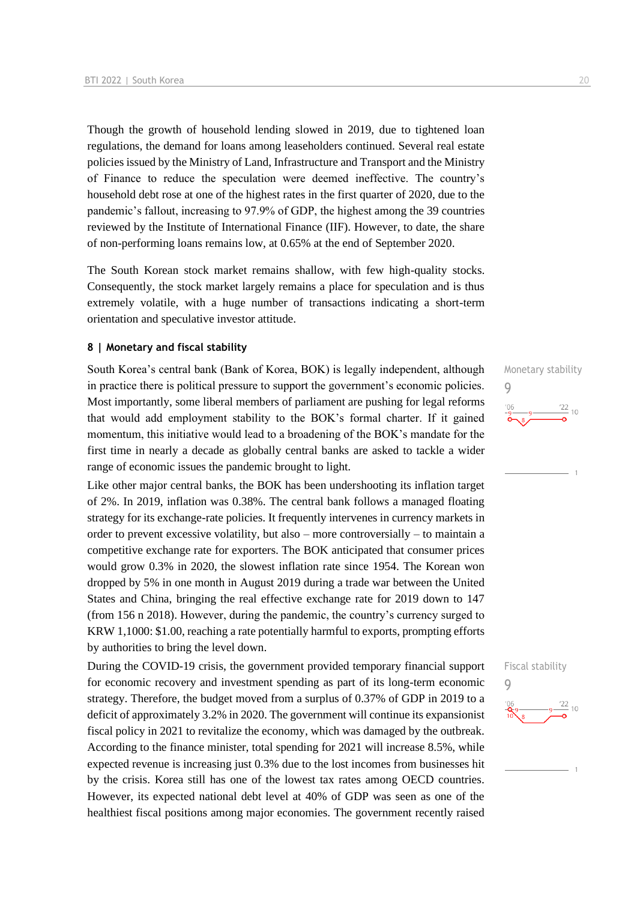Though the growth of household lending slowed in 2019, due to tightened loan regulations, the demand for loans among leaseholders continued. Several real estate policies issued by the Ministry of Land, Infrastructure and Transport and the Ministry of Finance to reduce the speculation were deemed ineffective. The country's household debt rose at one of the highest rates in the first quarter of 2020, due to the pandemic's fallout, increasing to 97.9% of GDP, the highest among the 39 countries reviewed by the Institute of International Finance (IIF). However, to date, the share of non-performing loans remains low, at 0.65% at the end of September 2020.

The South Korean stock market remains shallow, with few high-quality stocks. Consequently, the stock market largely remains a place for speculation and is thus extremely volatile, with a huge number of transactions indicating a short-term orientation and speculative investor attitude.

#### **8 | Monetary and fiscal stability**

South Korea's central bank (Bank of Korea, BOK) is legally independent, although in practice there is political pressure to support the government's economic policies. Most importantly, some liberal members of parliament are pushing for legal reforms that would add employment stability to the BOK's formal charter. If it gained momentum, this initiative would lead to a broadening of the BOK's mandate for the first time in nearly a decade as globally central banks are asked to tackle a wider range of economic issues the pandemic brought to light.

Like other major central banks, the BOK has been undershooting its inflation target of 2%. In 2019, inflation was 0.38%. The central bank follows a managed floating strategy for its exchange-rate policies. It frequently intervenes in currency markets in order to prevent excessive volatility, but also – more controversially – to maintain a competitive exchange rate for exporters. The BOK anticipated that consumer prices would grow 0.3% in 2020, the slowest inflation rate since 1954. The Korean won dropped by 5% in one month in August 2019 during a trade war between the United States and China, bringing the real effective exchange rate for 2019 down to 147 (from 156 n 2018). However, during the pandemic, the country's currency surged to KRW 1,1000: \$1.00, reaching a rate potentially harmful to exports, prompting efforts by authorities to bring the level down.

During the COVID-19 crisis, the government provided temporary financial support for economic recovery and investment spending as part of its long-term economic strategy. Therefore, the budget moved from a surplus of 0.37% of GDP in 2019 to a deficit of approximately 3.2% in 2020. The government will continue its expansionist fiscal policy in 2021 to revitalize the economy, which was damaged by the outbreak. According to the finance minister, total spending for 2021 will increase 8.5%, while expected revenue is increasing just 0.3% due to the lost incomes from businesses hit by the crisis. Korea still has one of the lowest tax rates among OECD countries. However, its expected national debt level at 40% of GDP was seen as one of the healthiest fiscal positions among major economies. The government recently raised





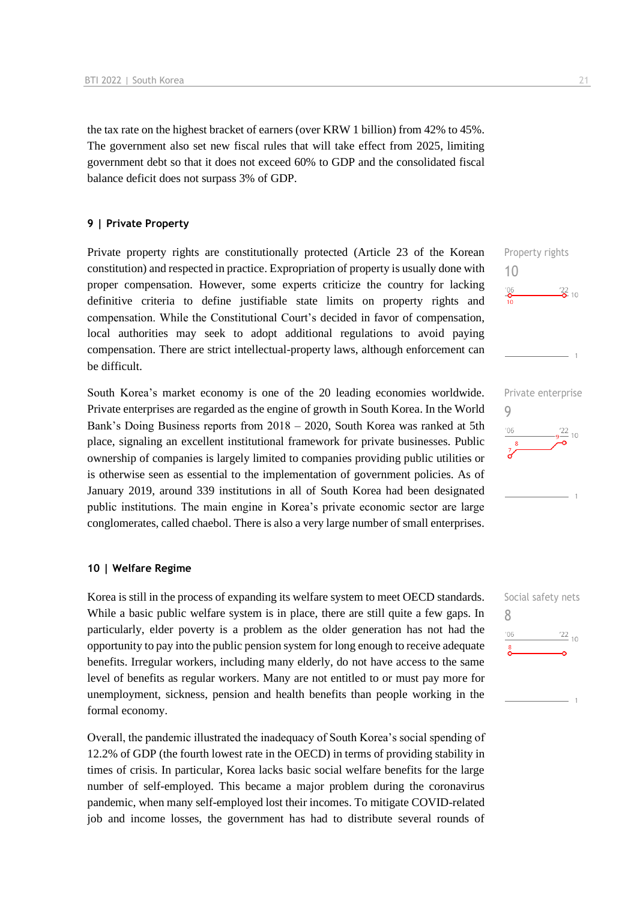the tax rate on the highest bracket of earners (over KRW 1 billion) from 42% to 45%. The government also set new fiscal rules that will take effect from 2025, limiting government debt so that it does not exceed 60% to GDP and the consolidated fiscal balance deficit does not surpass 3% of GDP.

#### **9 | Private Property**

Private property rights are constitutionally protected (Article 23 of the Korean constitution) and respected in practice. Expropriation of property is usually done with proper compensation. However, some experts criticize the country for lacking definitive criteria to define justifiable state limits on property rights and compensation. While the Constitutional Court's decided in favor of compensation, local authorities may seek to adopt additional regulations to avoid paying compensation. There are strict intellectual-property laws, although enforcement can be difficult.

South Korea's market economy is one of the 20 leading economies worldwide. Private enterprises are regarded as the engine of growth in South Korea. In the World Bank's Doing Business reports from 2018 – 2020, South Korea was ranked at 5th place, signaling an excellent institutional framework for private businesses. Public ownership of companies is largely limited to companies providing public utilities or is otherwise seen as essential to the implementation of government policies. As of January 2019, around 339 institutions in all of South Korea had been designated public institutions. The main engine in Korea's private economic sector are large conglomerates, called chaebol. There is also a very large number of small enterprises.

#### **10 | Welfare Regime**

Korea is still in the process of expanding its welfare system to meet OECD standards. While a basic public welfare system is in place, there are still quite a few gaps. In particularly, elder poverty is a problem as the older generation has not had the opportunity to pay into the public pension system for long enough to receive adequate benefits. Irregular workers, including many elderly, do not have access to the same level of benefits as regular workers. Many are not entitled to or must pay more for unemployment, sickness, pension and health benefits than people working in the formal economy.

Overall, the pandemic illustrated the inadequacy of South Korea's social spending of 12.2% of GDP (the fourth lowest rate in the OECD) in terms of providing stability in times of crisis. In particular, Korea lacks basic social welfare benefits for the large number of self-employed. This became a major problem during the coronavirus pandemic, when many self-employed lost their incomes. To mitigate COVID-related job and income losses, the government has had to distribute several rounds of



Property rights

10

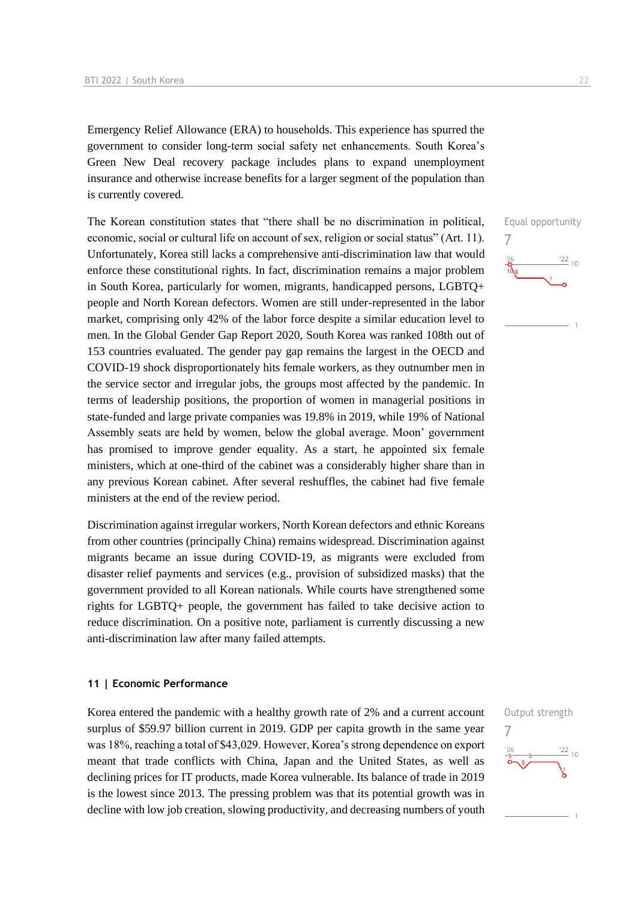Emergency Relief Allowance (ERA) to households. This experience has spurred the government to consider long-term social safety net enhancements. South Korea's Green New Deal recovery package includes plans to expand unemployment insurance and otherwise increase benefits for a larger segment of the population than is currently covered.

The Korean constitution states that "there shall be no discrimination in political, economic, social or cultural life on account of sex, religion or social status" (Art. 11). Unfortunately, Korea still lacks a comprehensive anti-discrimination law that would enforce these constitutional rights. In fact, discrimination remains a major problem in South Korea, particularly for women, migrants, handicapped persons, LGBTQ+ people and North Korean defectors. Women are still under-represented in the labor market, comprising only 42% of the labor force despite a similar education level to men. In the Global Gender Gap Report 2020, South Korea was ranked 108th out of 153 countries evaluated. The gender pay gap remains the largest in the OECD and COVID-19 shock disproportionately hits female workers, as they outnumber men in the service sector and irregular jobs, the groups most affected by the pandemic. In terms of leadership positions, the proportion of women in managerial positions in state-funded and large private companies was 19.8% in 2019, while 19% of National Assembly seats are held by women, below the global average. Moon' government has promised to improve gender equality. As a start, he appointed six female ministers, which at one-third of the cabinet was a considerably higher share than in any previous Korean cabinet. After several reshuffles, the cabinet had five female ministers at the end of the review period.

Discrimination against irregular workers, North Korean defectors and ethnic Koreans from other countries (principally China) remains widespread. Discrimination against migrants became an issue during COVID-19, as migrants were excluded from disaster relief payments and services (e.g., provision of subsidized masks) that the government provided to all Korean nationals. While courts have strengthened some rights for LGBTQ+ people, the government has failed to take decisive action to reduce discrimination. On a positive note, parliament is currently discussing a new anti-discrimination law after many failed attempts.

#### **11 | Economic Performance**

Korea entered the pandemic with a healthy growth rate of 2% and a current account surplus of \$59.97 billion current in 2019. GDP per capita growth in the same year was 18%, reaching a total of \$43,029. However, Korea's strong dependence on export meant that trade conflicts with China, Japan and the United States, as well as declining prices for IT products, made Korea vulnerable. Its balance of trade in 2019 is the lowest since 2013. The pressing problem was that its potential growth was in decline with low job creation, slowing productivity, and decreasing numbers of youth



Equal opportunity

 $\frac{22}{10}$ 

7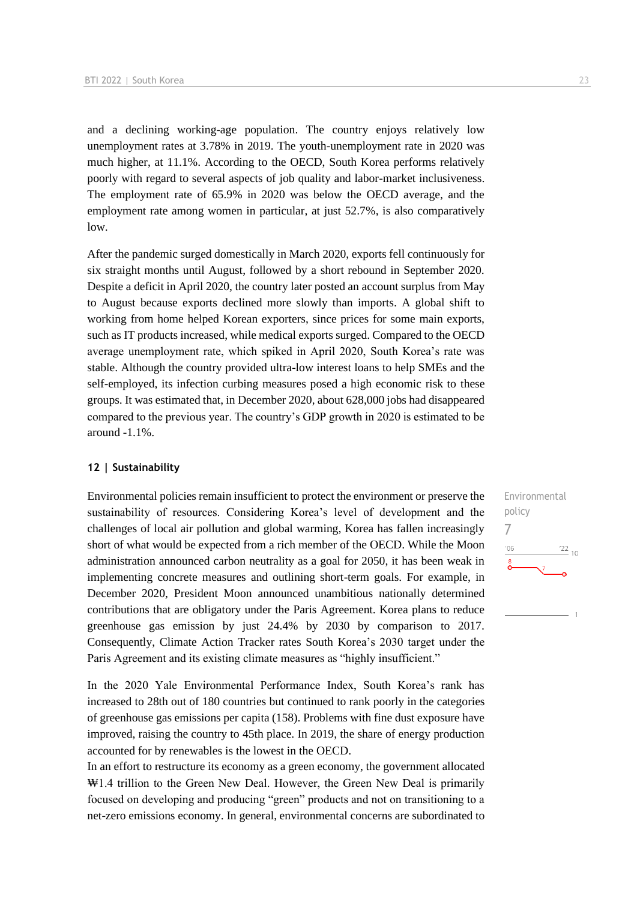and a declining working-age population. The country enjoys relatively low unemployment rates at 3.78% in 2019. The youth-unemployment rate in 2020 was much higher, at 11.1%. According to the OECD, South Korea performs relatively poorly with regard to several aspects of job quality and labor-market inclusiveness. The employment rate of 65.9% in 2020 was below the OECD average, and the employment rate among women in particular, at just 52.7%, is also comparatively low.

After the pandemic surged domestically in March 2020, exports fell continuously for six straight months until August, followed by a short rebound in September 2020. Despite a deficit in April 2020, the country later posted an account surplus from May to August because exports declined more slowly than imports. A global shift to working from home helped Korean exporters, since prices for some main exports, such as IT products increased, while medical exports surged. Compared to the OECD average unemployment rate, which spiked in April 2020, South Korea's rate was stable. Although the country provided ultra-low interest loans to help SMEs and the self-employed, its infection curbing measures posed a high economic risk to these groups. It was estimated that, in December 2020, about 628,000 jobs had disappeared compared to the previous year. The country's GDP growth in 2020 is estimated to be around -1.1%.

#### **12 | Sustainability**

Environmental policies remain insufficient to protect the environment or preserve the sustainability of resources. Considering Korea's level of development and the challenges of local air pollution and global warming, Korea has fallen increasingly short of what would be expected from a rich member of the OECD. While the Moon administration announced carbon neutrality as a goal for 2050, it has been weak in implementing concrete measures and outlining short-term goals. For example, in December 2020, President Moon announced unambitious nationally determined contributions that are obligatory under the Paris Agreement. Korea plans to reduce greenhouse gas emission by just 24.4% by 2030 by comparison to 2017. Consequently, Climate Action Tracker rates South Korea's 2030 target under the Paris Agreement and its existing climate measures as "highly insufficient."

In the 2020 Yale Environmental Performance Index, South Korea's rank has increased to 28th out of 180 countries but continued to rank poorly in the categories of greenhouse gas emissions per capita (158). Problems with fine dust exposure have improved, raising the country to 45th place. In 2019, the share of energy production accounted for by renewables is the lowest in the OECD.

In an effort to restructure its economy as a green economy, the government allocated ₩1.4 trillion to the Green New Deal. However, the Green New Deal is primarily focused on developing and producing "green" products and not on transitioning to a net-zero emissions economy. In general, environmental concerns are subordinated to

Environmental policy 7 $-06$  $\frac{22}{10}$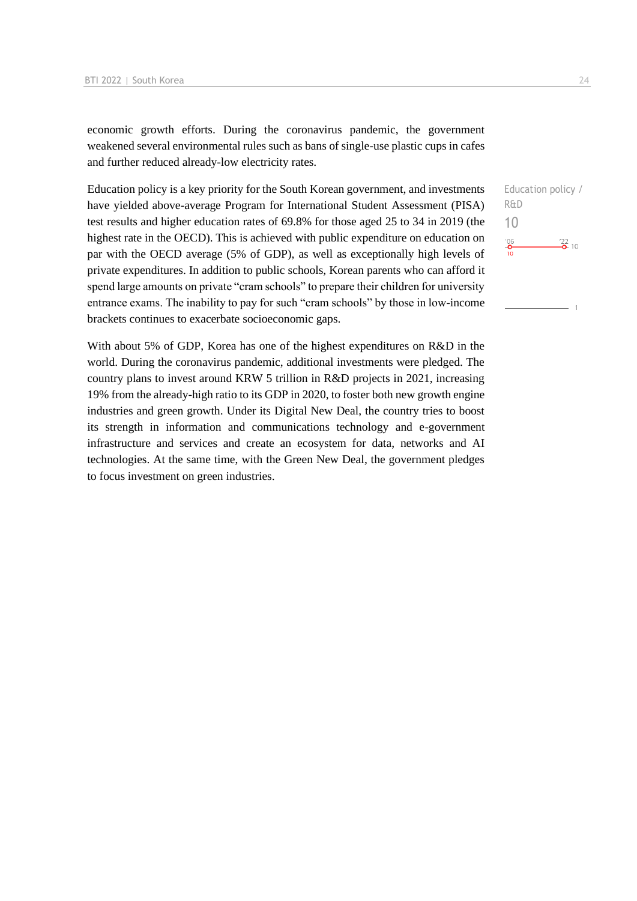economic growth efforts. During the coronavirus pandemic, the government weakened several environmental rules such as bans of single-use plastic cups in cafes and further reduced already-low electricity rates.

Education policy is a key priority for the South Korean government, and investments have yielded above-average Program for International Student Assessment (PISA) test results and higher education rates of 69.8% for those aged 25 to 34 in 2019 (the highest rate in the OECD). This is achieved with public expenditure on education on par with the OECD average (5% of GDP), as well as exceptionally high levels of private expenditures. In addition to public schools, Korean parents who can afford it spend large amounts on private "cram schools" to prepare their children for university entrance exams. The inability to pay for such "cram schools" by those in low-income brackets continues to exacerbate socioeconomic gaps.

With about 5% of GDP, Korea has one of the highest expenditures on R&D in the world. During the coronavirus pandemic, additional investments were pledged. The country plans to invest around KRW 5 trillion in R&D projects in 2021, increasing 19% from the already-high ratio to its GDP in 2020, to foster both new growth engine industries and green growth. Under its Digital New Deal, the country tries to boost its strength in information and communications technology and e-government infrastructure and services and create an ecosystem for data, networks and AI technologies. At the same time, with the Green New Deal, the government pledges to focus investment on green industries.

Education policy / R&D 10 $\frac{106}{2}$  $\frac{22}{2}$  10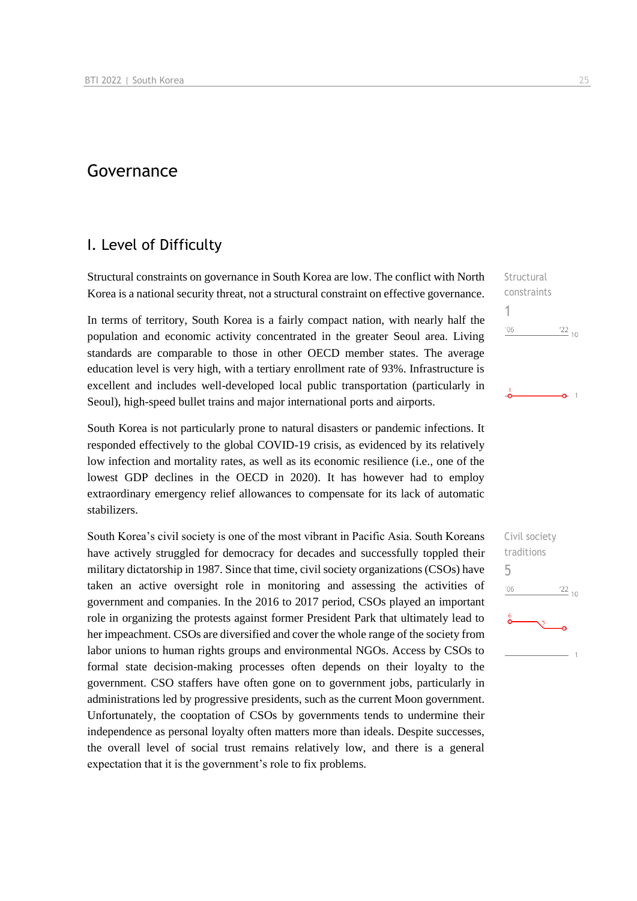## Governance

## I. Level of Difficulty

Structural constraints on governance in South Korea are low. The conflict with North Korea is a national security threat, not a structural constraint on effective governance.

In terms of territory, South Korea is a fairly compact nation, with nearly half the population and economic activity concentrated in the greater Seoul area. Living standards are comparable to those in other OECD member states. The average education level is very high, with a tertiary enrollment rate of 93%. Infrastructure is excellent and includes well-developed local public transportation (particularly in Seoul), high-speed bullet trains and major international ports and airports.

South Korea is not particularly prone to natural disasters or pandemic infections. It responded effectively to the global COVID-19 crisis, as evidenced by its relatively low infection and mortality rates, as well as its economic resilience (i.e., one of the lowest GDP declines in the OECD in 2020). It has however had to employ extraordinary emergency relief allowances to compensate for its lack of automatic stabilizers.

South Korea's civil society is one of the most vibrant in Pacific Asia. South Koreans have actively struggled for democracy for decades and successfully toppled their military dictatorship in 1987. Since that time, civil society organizations (CSOs) have taken an active oversight role in monitoring and assessing the activities of government and companies. In the 2016 to 2017 period, CSOs played an important role in organizing the protests against former President Park that ultimately lead to her impeachment. CSOs are diversified and cover the whole range of the society from labor unions to human rights groups and environmental NGOs. Access by CSOs to formal state decision-making processes often depends on their loyalty to the government. CSO staffers have often gone on to government jobs, particularly in administrations led by progressive presidents, such as the current Moon government. Unfortunately, the cooptation of CSOs by governments tends to undermine their independence as personal loyalty often matters more than ideals. Despite successes, the overall level of social trust remains relatively low, and there is a general expectation that it is the government's role to fix problems.

Structural constraints 1  $106$  $^{22}$  10

 $\Omega$  1

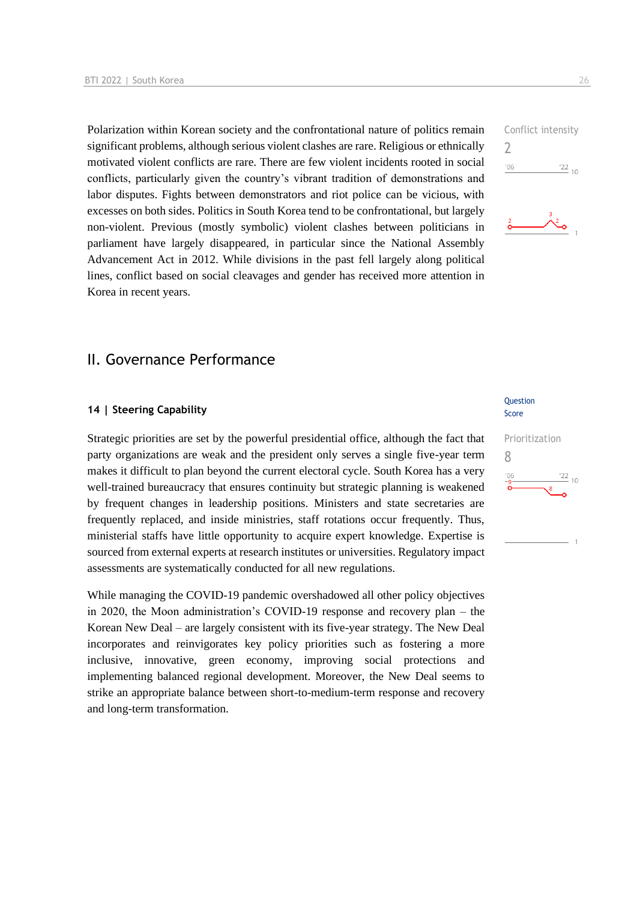Polarization within Korean society and the confrontational nature of politics remain significant problems, although serious violent clashes are rare. Religious or ethnically motivated violent conflicts are rare. There are few violent incidents rooted in social conflicts, particularly given the country's vibrant tradition of demonstrations and labor disputes. Fights between demonstrators and riot police can be vicious, with excesses on both sides. Politics in South Korea tend to be confrontational, but largely non-violent. Previous (mostly symbolic) violent clashes between politicians in parliament have largely disappeared, in particular since the National Assembly Advancement Act in 2012. While divisions in the past fell largely along political lines, conflict based on social cleavages and gender has received more attention in Korea in recent years.

## II. Governance Performance

#### **14 | Steering Capability**

Strategic priorities are set by the powerful presidential office, although the fact that party organizations are weak and the president only serves a single five-year term makes it difficult to plan beyond the current electoral cycle. South Korea has a very well-trained bureaucracy that ensures continuity but strategic planning is weakened by frequent changes in leadership positions. Ministers and state secretaries are frequently replaced, and inside ministries, staff rotations occur frequently. Thus, ministerial staffs have little opportunity to acquire expert knowledge. Expertise is sourced from external experts at research institutes or universities. Regulatory impact assessments are systematically conducted for all new regulations.

While managing the COVID-19 pandemic overshadowed all other policy objectives in 2020, the Moon administration's COVID-19 response and recovery plan – the Korean New Deal – are largely consistent with its five-year strategy. The New Deal incorporates and reinvigorates key policy priorities such as fostering a more inclusive, innovative, green economy, improving social protections and implementing balanced regional development. Moreover, the New Deal seems to strike an appropriate balance between short-to-medium-term response and recovery and long-term transformation.

### Question Score

## Prioritization 8 $\frac{22}{10}$

Conflict intensity 2  $106$  $\frac{22}{10}$ 

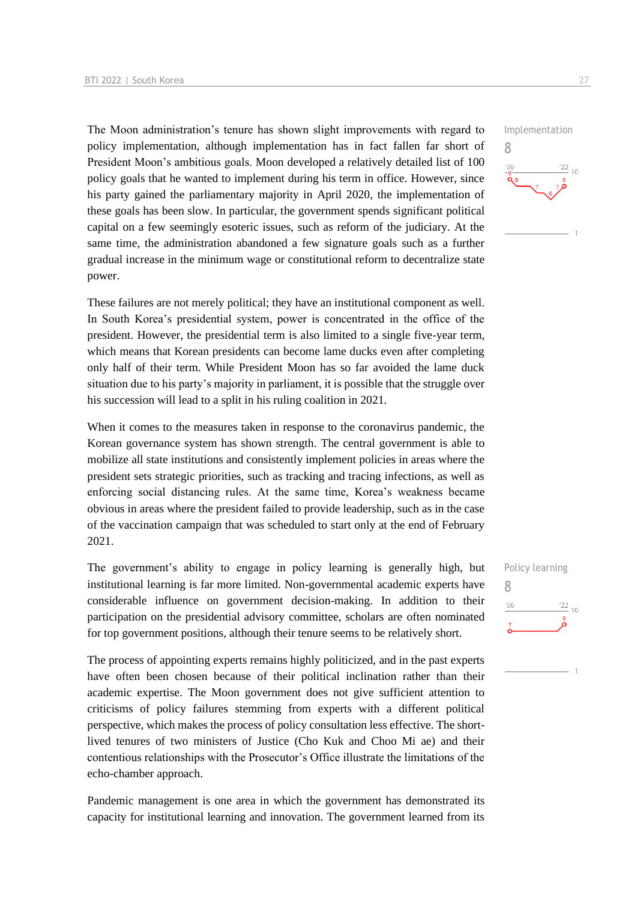The Moon administration's tenure has shown slight improvements with regard to policy implementation, although implementation has in fact fallen far short of President Moon's ambitious goals. Moon developed a relatively detailed list of 100 policy goals that he wanted to implement during his term in office. However, since his party gained the parliamentary majority in April 2020, the implementation of these goals has been slow. In particular, the government spends significant political capital on a few seemingly esoteric issues, such as reform of the judiciary. At the same time, the administration abandoned a few signature goals such as a further gradual increase in the minimum wage or constitutional reform to decentralize state power.

These failures are not merely political; they have an institutional component as well. In South Korea's presidential system, power is concentrated in the office of the president. However, the presidential term is also limited to a single five-year term, which means that Korean presidents can become lame ducks even after completing only half of their term. While President Moon has so far avoided the lame duck situation due to his party's majority in parliament, it is possible that the struggle over his succession will lead to a split in his ruling coalition in 2021.

When it comes to the measures taken in response to the coronavirus pandemic, the Korean governance system has shown strength. The central government is able to mobilize all state institutions and consistently implement policies in areas where the president sets strategic priorities, such as tracking and tracing infections, as well as enforcing social distancing rules. At the same time, Korea's weakness became obvious in areas where the president failed to provide leadership, such as in the case of the vaccination campaign that was scheduled to start only at the end of February 2021.

The government's ability to engage in policy learning is generally high, but institutional learning is far more limited. Non-governmental academic experts have considerable influence on government decision-making. In addition to their participation on the presidential advisory committee, scholars are often nominated for top government positions, although their tenure seems to be relatively short.

The process of appointing experts remains highly politicized, and in the past experts have often been chosen because of their political inclination rather than their academic expertise. The Moon government does not give sufficient attention to criticisms of policy failures stemming from experts with a different political perspective, which makes the process of policy consultation less effective. The shortlived tenures of two ministers of Justice (Cho Kuk and Choo Mi ae) and their contentious relationships with the Prosecutor's Office illustrate the limitations of the echo-chamber approach.

Pandemic management is one area in which the government has demonstrated its capacity for institutional learning and innovation. The government learned from its

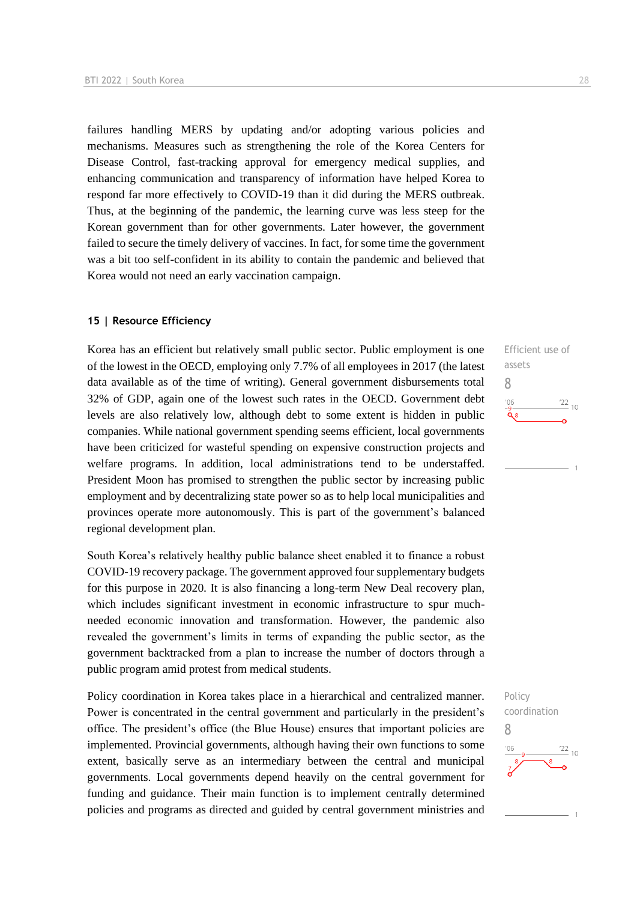failures handling MERS by updating and/or adopting various policies and mechanisms. Measures such as strengthening the role of the Korea Centers for Disease Control, fast-tracking approval for emergency medical supplies, and enhancing communication and transparency of information have helped Korea to respond far more effectively to COVID-19 than it did during the MERS outbreak. Thus, at the beginning of the pandemic, the learning curve was less steep for the Korean government than for other governments. Later however, the government failed to secure the timely delivery of vaccines. In fact, for some time the government was a bit too self-confident in its ability to contain the pandemic and believed that Korea would not need an early vaccination campaign.

#### **15 | Resource Efficiency**

Korea has an efficient but relatively small public sector. Public employment is one of the lowest in the OECD, employing only 7.7% of all employees in 2017 (the latest data available as of the time of writing). General government disbursements total 32% of GDP, again one of the lowest such rates in the OECD. Government debt levels are also relatively low, although debt to some extent is hidden in public companies. While national government spending seems efficient, local governments have been criticized for wasteful spending on expensive construction projects and welfare programs. In addition, local administrations tend to be understaffed. President Moon has promised to strengthen the public sector by increasing public employment and by decentralizing state power so as to help local municipalities and provinces operate more autonomously. This is part of the government's balanced regional development plan.

South Korea's relatively healthy public balance sheet enabled it to finance a robust COVID-19 recovery package. The government approved four supplementary budgets for this purpose in 2020. It is also financing a long-term New Deal recovery plan, which includes significant investment in economic infrastructure to spur muchneeded economic innovation and transformation. However, the pandemic also revealed the government's limits in terms of expanding the public sector, as the government backtracked from a plan to increase the number of doctors through a public program amid protest from medical students.

Policy coordination in Korea takes place in a hierarchical and centralized manner. Power is concentrated in the central government and particularly in the president's office. The president's office (the Blue House) ensures that important policies are implemented. Provincial governments, although having their own functions to some extent, basically serve as an intermediary between the central and municipal governments. Local governments depend heavily on the central government for funding and guidance. Their main function is to implement centrally determined policies and programs as directed and guided by central government ministries and



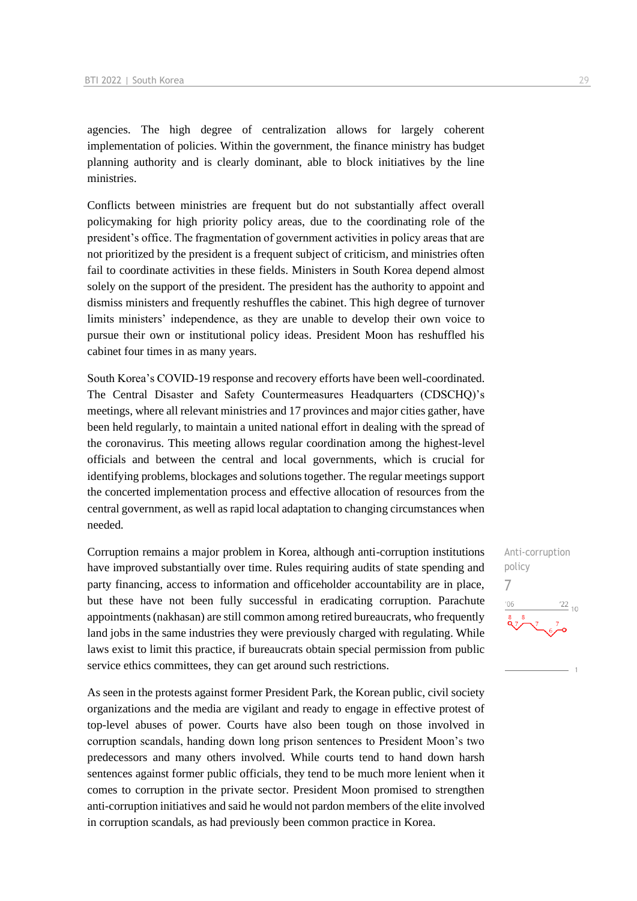agencies. The high degree of centralization allows for largely coherent implementation of policies. Within the government, the finance ministry has budget planning authority and is clearly dominant, able to block initiatives by the line ministries.

Conflicts between ministries are frequent but do not substantially affect overall policymaking for high priority policy areas, due to the coordinating role of the president's office. The fragmentation of government activities in policy areas that are not prioritized by the president is a frequent subject of criticism, and ministries often fail to coordinate activities in these fields. Ministers in South Korea depend almost solely on the support of the president. The president has the authority to appoint and dismiss ministers and frequently reshuffles the cabinet. This high degree of turnover limits ministers' independence, as they are unable to develop their own voice to pursue their own or institutional policy ideas. President Moon has reshuffled his cabinet four times in as many years.

South Korea's COVID-19 response and recovery efforts have been well-coordinated. The Central Disaster and Safety Countermeasures Headquarters (CDSCHQ)'s meetings, where all relevant ministries and 17 provinces and major cities gather, have been held regularly, to maintain a united national effort in dealing with the spread of the coronavirus. This meeting allows regular coordination among the highest-level officials and between the central and local governments, which is crucial for identifying problems, blockages and solutions together. The regular meetings support the concerted implementation process and effective allocation of resources from the central government, as well as rapid local adaptation to changing circumstances when needed.

Corruption remains a major problem in Korea, although anti-corruption institutions have improved substantially over time. Rules requiring audits of state spending and party financing, access to information and officeholder accountability are in place, but these have not been fully successful in eradicating corruption. Parachute appointments (nakhasan) are still common among retired bureaucrats, who frequently land jobs in the same industries they were previously charged with regulating. While laws exist to limit this practice, if bureaucrats obtain special permission from public service ethics committees, they can get around such restrictions.

As seen in the protests against former President Park, the Korean public, civil society organizations and the media are vigilant and ready to engage in effective protest of top-level abuses of power. Courts have also been tough on those involved in corruption scandals, handing down long prison sentences to President Moon's two predecessors and many others involved. While courts tend to hand down harsh sentences against former public officials, they tend to be much more lenient when it comes to corruption in the private sector. President Moon promised to strengthen anti-corruption initiatives and said he would not pardon members of the elite involved in corruption scandals, as had previously been common practice in Korea.

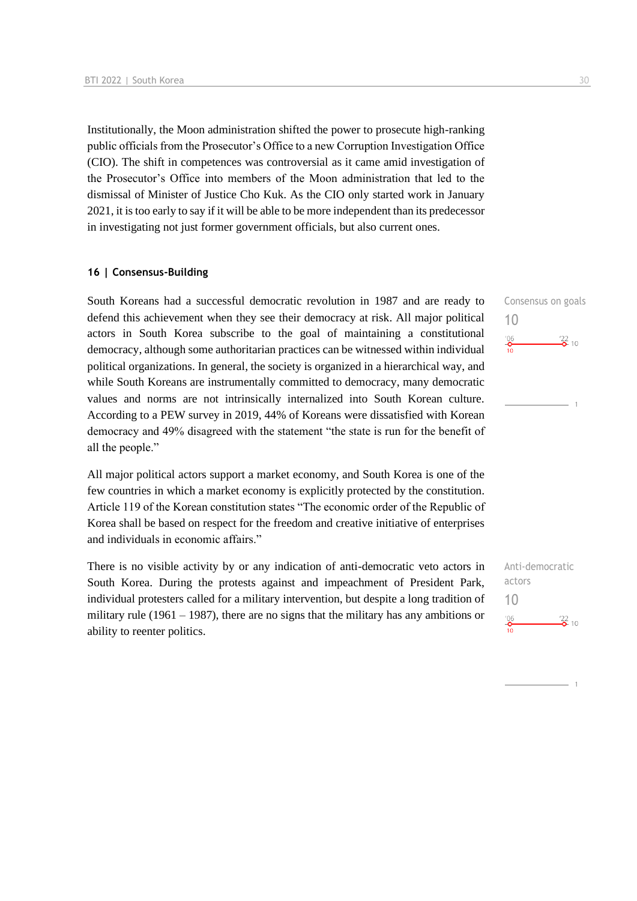Institutionally, the Moon administration shifted the power to prosecute high-ranking public officials from the Prosecutor's Office to a new Corruption Investigation Office (CIO). The shift in competences was controversial as it came amid investigation of the Prosecutor's Office into members of the Moon administration that led to the dismissal of Minister of Justice Cho Kuk. As the CIO only started work in January 2021, it is too early to say if it will be able to be more independent than its predecessor in investigating not just former government officials, but also current ones.

#### **16 | Consensus-Building**

South Koreans had a successful democratic revolution in 1987 and are ready to defend this achievement when they see their democracy at risk. All major political actors in South Korea subscribe to the goal of maintaining a constitutional democracy, although some authoritarian practices can be witnessed within individual political organizations. In general, the society is organized in a hierarchical way, and while South Koreans are instrumentally committed to democracy, many democratic values and norms are not intrinsically internalized into South Korean culture. According to a PEW survey in 2019, 44% of Koreans were dissatisfied with Korean democracy and 49% disagreed with the statement "the state is run for the benefit of all the people."

All major political actors support a market economy, and South Korea is one of the few countries in which a market economy is explicitly protected by the constitution. Article 119 of the Korean constitution states "The economic order of the Republic of Korea shall be based on respect for the freedom and creative initiative of enterprises and individuals in economic affairs."

There is no visible activity by or any indication of anti-democratic veto actors in South Korea. During the protests against and impeachment of President Park, individual protesters called for a military intervention, but despite a long tradition of military rule (1961 – 1987), there are no signs that the military has any ambitions or ability to reenter politics.

Consensus on goals 10  $-6$  $\frac{22}{2}$  10

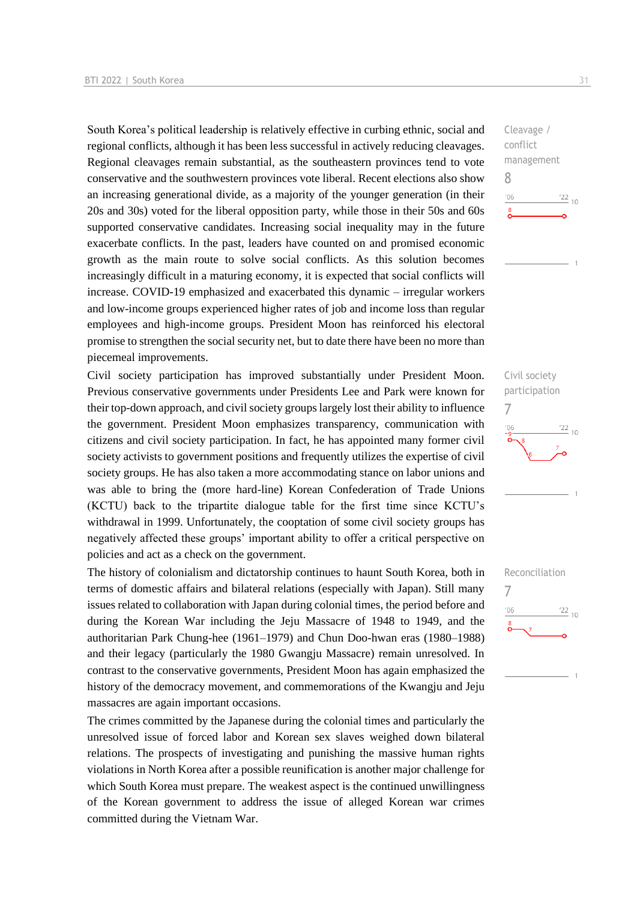South Korea's political leadership is relatively effective in curbing ethnic, social and regional conflicts, although it has been less successful in actively reducing cleavages. Regional cleavages remain substantial, as the southeastern provinces tend to vote conservative and the southwestern provinces vote liberal. Recent elections also show an increasing generational divide, as a majority of the younger generation (in their 20s and 30s) voted for the liberal opposition party, while those in their 50s and 60s supported conservative candidates. Increasing social inequality may in the future exacerbate conflicts. In the past, leaders have counted on and promised economic growth as the main route to solve social conflicts. As this solution becomes increasingly difficult in a maturing economy, it is expected that social conflicts will increase. COVID-19 emphasized and exacerbated this dynamic – irregular workers and low-income groups experienced higher rates of job and income loss than regular employees and high-income groups. President Moon has reinforced his electoral promise to strengthen the social security net, but to date there have been no more than piecemeal improvements.

Civil society participation has improved substantially under President Moon. Previous conservative governments under Presidents Lee and Park were known for their top-down approach, and civil society groups largely lost their ability to influence the government. President Moon emphasizes transparency, communication with citizens and civil society participation. In fact, he has appointed many former civil society activists to government positions and frequently utilizes the expertise of civil society groups. He has also taken a more accommodating stance on labor unions and was able to bring the (more hard-line) Korean Confederation of Trade Unions (KCTU) back to the tripartite dialogue table for the first time since KCTU's withdrawal in 1999. Unfortunately, the cooptation of some civil society groups has negatively affected these groups' important ability to offer a critical perspective on policies and act as a check on the government.

The history of colonialism and dictatorship continues to haunt South Korea, both in terms of domestic affairs and bilateral relations (especially with Japan). Still many issues related to collaboration with Japan during colonial times, the period before and during the Korean War including the Jeju Massacre of 1948 to 1949, and the authoritarian Park Chung-hee (1961–1979) and Chun Doo-hwan eras (1980–1988) and their legacy (particularly the 1980 Gwangju Massacre) remain unresolved. In contrast to the conservative governments, President Moon has again emphasized the history of the democracy movement, and commemorations of the Kwangju and Jeju massacres are again important occasions.

The crimes committed by the Japanese during the colonial times and particularly the unresolved issue of forced labor and Korean sex slaves weighed down bilateral relations. The prospects of investigating and punishing the massive human rights violations in North Korea after a possible reunification is another major challenge for which South Korea must prepare. The weakest aspect is the continued unwillingness of the Korean government to address the issue of alleged Korean war crimes committed during the Vietnam War.

 $\frac{22}{10}$ 

 $\frac{22}{10}$ 

 $\frac{22}{10}$ 

Cleavage / conflict management

Civil society participation

Reconciliation

7

 $^{\prime}06$ 

7

 $-06$ 

8

 $n<sub>6</sub>$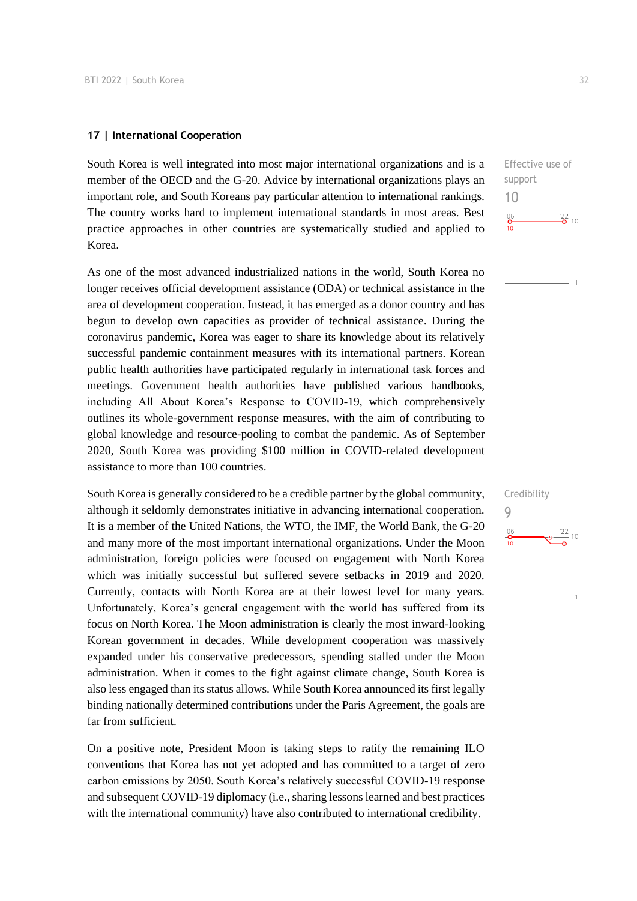#### **17 | International Cooperation**

South Korea is well integrated into most major international organizations and is a member of the OECD and the G-20. Advice by international organizations plays an important role, and South Koreans pay particular attention to international rankings. The country works hard to implement international standards in most areas. Best practice approaches in other countries are systematically studied and applied to Korea.

As one of the most advanced industrialized nations in the world, South Korea no longer receives official development assistance (ODA) or technical assistance in the area of development cooperation. Instead, it has emerged as a donor country and has begun to develop own capacities as provider of technical assistance. During the coronavirus pandemic, Korea was eager to share its knowledge about its relatively successful pandemic containment measures with its international partners. Korean public health authorities have participated regularly in international task forces and meetings. Government health authorities have published various handbooks, including All About Korea's Response to COVID-19, which comprehensively outlines its whole-government response measures, with the aim of contributing to global knowledge and resource-pooling to combat the pandemic. As of September 2020, South Korea was providing \$100 million in COVID-related development assistance to more than 100 countries.

South Korea is generally considered to be a credible partner by the global community, although it seldomly demonstrates initiative in advancing international cooperation. It is a member of the United Nations, the WTO, the IMF, the World Bank, the G-20 and many more of the most important international organizations. Under the Moon administration, foreign policies were focused on engagement with North Korea which was initially successful but suffered severe setbacks in 2019 and 2020. Currently, contacts with North Korea are at their lowest level for many years. Unfortunately, Korea's general engagement with the world has suffered from its focus on North Korea. The Moon administration is clearly the most inward-looking Korean government in decades. While development cooperation was massively expanded under his conservative predecessors, spending stalled under the Moon administration. When it comes to the fight against climate change, South Korea is also less engaged than its status allows. While South Korea announced its first legally binding nationally determined contributions under the Paris Agreement, the goals are far from sufficient.

On a positive note, President Moon is taking steps to ratify the remaining ILO conventions that Korea has not yet adopted and has committed to a target of zero carbon emissions by 2050. South Korea's relatively successful COVID-19 response and subsequent COVID-19 diplomacy (i.e., sharing lessons learned and best practices with the international community) have also contributed to international credibility.

Effective use of support 10  $\frac{106}{2}$  $\frac{22}{2}$  10

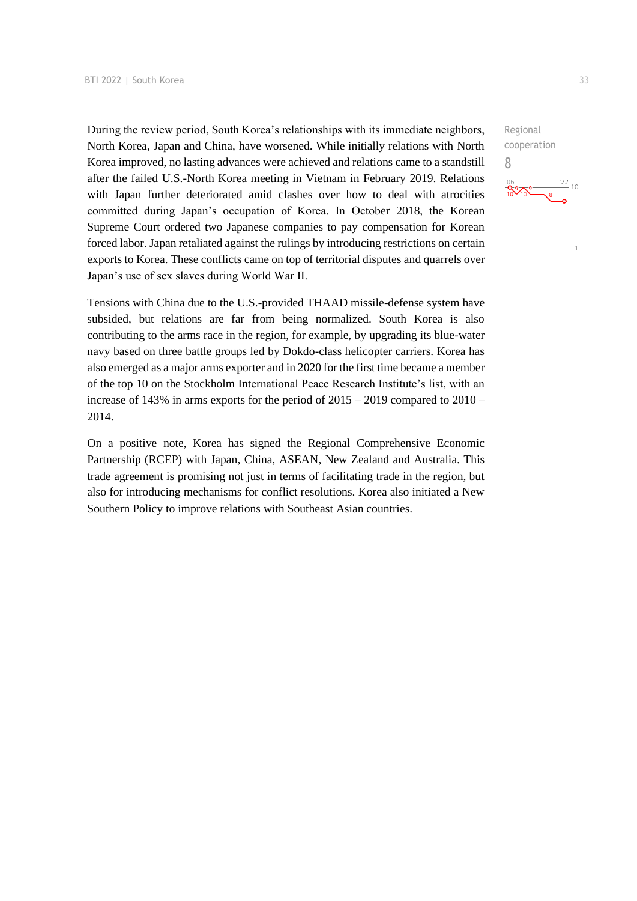During the review period, South Korea's relationships with its immediate neighbors, North Korea, Japan and China, have worsened. While initially relations with North Korea improved, no lasting advances were achieved and relations came to a standstill after the failed U.S.-North Korea meeting in Vietnam in February 2019. Relations with Japan further deteriorated amid clashes over how to deal with atrocities committed during Japan's occupation of Korea. In October 2018, the Korean Supreme Court ordered two Japanese companies to pay compensation for Korean forced labor. Japan retaliated against the rulings by introducing restrictions on certain exports to Korea. These conflicts came on top of territorial disputes and quarrels over Japan's use of sex slaves during World War II.

Tensions with China due to the U.S.-provided THAAD missile-defense system have subsided, but relations are far from being normalized. South Korea is also contributing to the arms race in the region, for example, by upgrading its blue-water navy based on three battle groups led by Dokdo-class helicopter carriers. Korea has also emerged as a major arms exporter and in 2020 for the first time became a member of the top 10 on the Stockholm International Peace Research Institute's list, with an increase of 143% in arms exports for the period of 2015 – 2019 compared to 2010 – 2014.

On a positive note, Korea has signed the Regional Comprehensive Economic Partnership (RCEP) with Japan, China, ASEAN, New Zealand and Australia. This trade agreement is promising not just in terms of facilitating trade in the region, but also for introducing mechanisms for conflict resolutions. Korea also initiated a New Southern Policy to improve relations with Southeast Asian countries.

Regional cooperation 8 $\frac{122}{10}$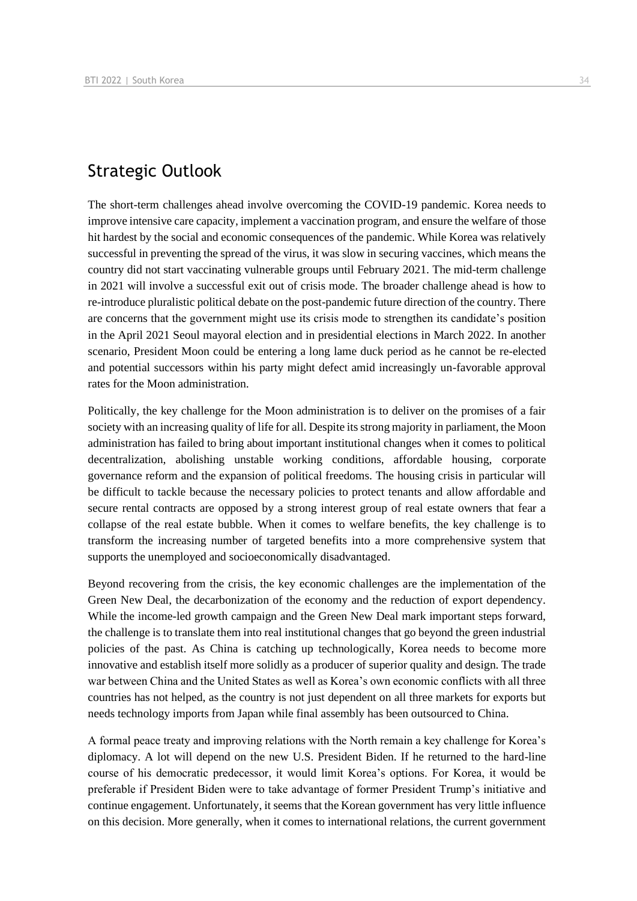## Strategic Outlook

The short-term challenges ahead involve overcoming the COVID-19 pandemic. Korea needs to improve intensive care capacity, implement a vaccination program, and ensure the welfare of those hit hardest by the social and economic consequences of the pandemic. While Korea was relatively successful in preventing the spread of the virus, it was slow in securing vaccines, which means the country did not start vaccinating vulnerable groups until February 2021. The mid-term challenge in 2021 will involve a successful exit out of crisis mode. The broader challenge ahead is how to re-introduce pluralistic political debate on the post-pandemic future direction of the country. There are concerns that the government might use its crisis mode to strengthen its candidate's position in the April 2021 Seoul mayoral election and in presidential elections in March 2022. In another scenario, President Moon could be entering a long lame duck period as he cannot be re-elected and potential successors within his party might defect amid increasingly un-favorable approval rates for the Moon administration.

Politically, the key challenge for the Moon administration is to deliver on the promises of a fair society with an increasing quality of life for all. Despite its strong majority in parliament, the Moon administration has failed to bring about important institutional changes when it comes to political decentralization, abolishing unstable working conditions, affordable housing, corporate governance reform and the expansion of political freedoms. The housing crisis in particular will be difficult to tackle because the necessary policies to protect tenants and allow affordable and secure rental contracts are opposed by a strong interest group of real estate owners that fear a collapse of the real estate bubble. When it comes to welfare benefits, the key challenge is to transform the increasing number of targeted benefits into a more comprehensive system that supports the unemployed and socioeconomically disadvantaged.

Beyond recovering from the crisis, the key economic challenges are the implementation of the Green New Deal, the decarbonization of the economy and the reduction of export dependency. While the income-led growth campaign and the Green New Deal mark important steps forward, the challenge is to translate them into real institutional changes that go beyond the green industrial policies of the past. As China is catching up technologically, Korea needs to become more innovative and establish itself more solidly as a producer of superior quality and design. The trade war between China and the United States as well as Korea's own economic conflicts with all three countries has not helped, as the country is not just dependent on all three markets for exports but needs technology imports from Japan while final assembly has been outsourced to China.

A formal peace treaty and improving relations with the North remain a key challenge for Korea's diplomacy. A lot will depend on the new U.S. President Biden. If he returned to the hard-line course of his democratic predecessor, it would limit Korea's options. For Korea, it would be preferable if President Biden were to take advantage of former President Trump's initiative and continue engagement. Unfortunately, it seems that the Korean government has very little influence on this decision. More generally, when it comes to international relations, the current government